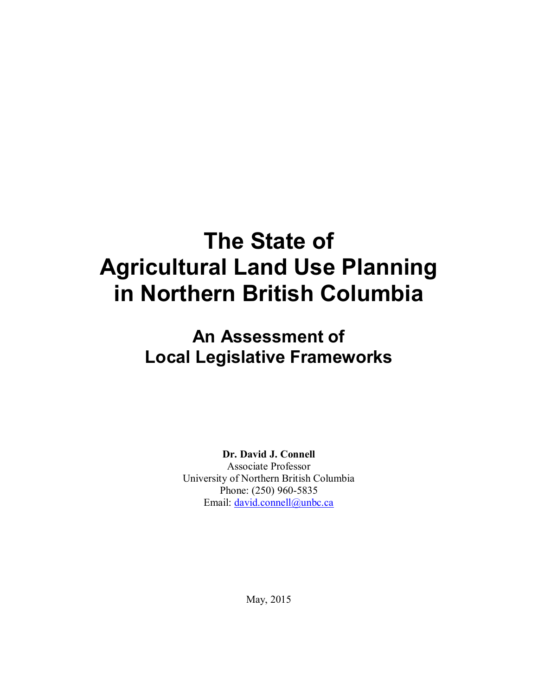# **The State of Agricultural Land Use Planning in Northern British Columbia**

# **An Assessment of Local Legislative Frameworks**

**Dr. David J. Connell**

Associate Professor University of Northern British Columbia Phone: (250) 960-5835 Email: david.connell@unbc.ca

May, 2015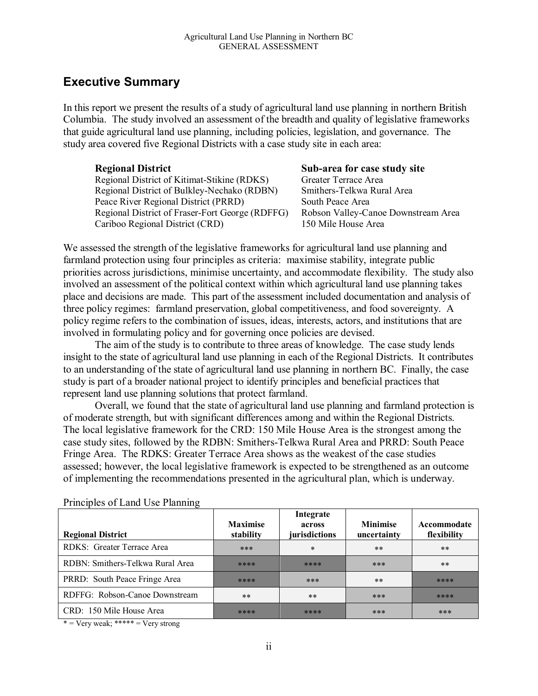## **Executive Summary**

In this report we present the results of a study of agricultural land use planning in northern British Columbia. The study involved an assessment of the breadth and quality of legislative frameworks that guide agricultural land use planning, including policies, legislation, and governance. The study area covered five Regional Districts with a case study site in each area:

**Regional District**<br>Regional District of Kitimat-Stikine (RDKS) Greater Terrace Area Regional District of Kitimat-Stikine (RDKS) Regional District of Bulkley-Nechako (RDBN) Smithers-Telkwa Rural Area Peace River Regional District (PRRD) South Peace Area Regional District of Fraser-Fort George (RDFFG) Robson Valley-Canoe Downstream Area Cariboo Regional District (CRD) 150 Mile House Area

We assessed the strength of the legislative frameworks for agricultural land use planning and farmland protection using four principles as criteria: maximise stability, integrate public priorities across jurisdictions, minimise uncertainty, and accommodate flexibility. The study also involved an assessment of the political context within which agricultural land use planning takes place and decisions are made. This part of the assessment included documentation and analysis of three policy regimes: farmland preservation, global competitiveness, and food sovereignty. A policy regime refers to the combination of issues, ideas, interests, actors, and institutions that are involved in formulating policy and for governing once policies are devised.

The aim of the study is to contribute to three areas of knowledge. The case study lends insight to the state of agricultural land use planning in each of the Regional Districts. It contributes to an understanding of the state of agricultural land use planning in northern BC. Finally, the case study is part of a broader national project to identify principles and beneficial practices that represent land use planning solutions that protect farmland.

Overall, we found that the state of agricultural land use planning and farmland protection is of moderate strength, but with significant differences among and within the Regional Districts. The local legislative framework for the CRD: 150 Mile House Area is the strongest among the case study sites, followed by the RDBN: Smithers-Telkwa Rural Area and PRRD: South Peace Fringe Area. The RDKS: Greater Terrace Area shows as the weakest of the case studies assessed; however, the local legislative framework is expected to be strengthened as an outcome of implementing the recommendations presented in the agricultural plan, which is underway.

| <b>Regional District</b>         | <b>Maximise</b><br>stability | Integrate<br>across<br>jurisdictions | <b>Minimise</b><br>uncertainty | Accommodate<br>flexibility |
|----------------------------------|------------------------------|--------------------------------------|--------------------------------|----------------------------|
| RDKS: Greater Terrace Area       | ***                          | *                                    | $***$                          | $***$                      |
| RDBN: Smithers-Telkwa Rural Area | ****                         | ****                                 | ***                            | $***$                      |
| PRRD: South Peace Fringe Area    | ****                         | ***                                  | $***$                          | ****                       |
| RDFFG: Robson-Canoe Downstream   | $***$                        | $***$                                | ***                            | ****                       |
| CRD: 150 Mile House Area         | ****                         | ****                                 | ***                            | ***                        |

Principles of Land Use Planning

\* = Very weak; \*\*\*\*\* = Very strong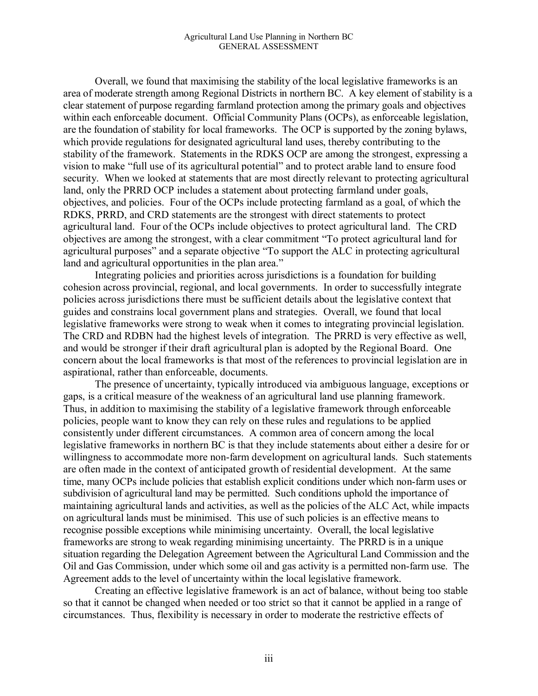Overall, we found that maximising the stability of the local legislative frameworks is an area of moderate strength among Regional Districts in northern BC. A key element of stability is a clear statement of purpose regarding farmland protection among the primary goals and objectives within each enforceable document. Official Community Plans (OCPs), as enforceable legislation, are the foundation of stability for local frameworks. The OCP is supported by the zoning bylaws, which provide regulations for designated agricultural land uses, thereby contributing to the stability of the framework. Statements in the RDKS OCP are among the strongest, expressing a vision to make "full use of its agricultural potential" and to protect arable land to ensure food security. When we looked at statements that are most directly relevant to protecting agricultural land, only the PRRD OCP includes a statement about protecting farmland under goals, objectives, and policies. Four of the OCPs include protecting farmland as a goal, of which the RDKS, PRRD, and CRD statements are the strongest with direct statements to protect agricultural land. Four of the OCPs include objectives to protect agricultural land. The CRD objectives are among the strongest, with a clear commitment "To protect agricultural land for agricultural purposes" and a separate objective "To support the ALC in protecting agricultural land and agricultural opportunities in the plan area."

Integrating policies and priorities across jurisdictions is a foundation for building cohesion across provincial, regional, and local governments. In order to successfully integrate policies across jurisdictions there must be sufficient details about the legislative context that guides and constrains local government plans and strategies. Overall, we found that local legislative frameworks were strong to weak when it comes to integrating provincial legislation. The CRD and RDBN had the highest levels of integration. The PRRD is very effective as well, and would be stronger if their draft agricultural plan is adopted by the Regional Board. One concern about the local frameworks is that most of the references to provincial legislation are in aspirational, rather than enforceable, documents.

The presence of uncertainty, typically introduced via ambiguous language, exceptions or gaps, is a critical measure of the weakness of an agricultural land use planning framework. Thus, in addition to maximising the stability of a legislative framework through enforceable policies, people want to know they can rely on these rules and regulations to be applied consistently under different circumstances. A common area of concern among the local legislative frameworks in northern BC is that they include statements about either a desire for or willingness to accommodate more non-farm development on agricultural lands. Such statements are often made in the context of anticipated growth of residential development. At the same time, many OCPs include policies that establish explicit conditions under which non-farm uses or subdivision of agricultural land may be permitted. Such conditions uphold the importance of maintaining agricultural lands and activities, as well as the policies of the ALC Act, while impacts on agricultural lands must be minimised. This use of such policies is an effective means to recognise possible exceptions while minimising uncertainty. Overall, the local legislative frameworks are strong to weak regarding minimising uncertainty. The PRRD is in a unique situation regarding the Delegation Agreement between the Agricultural Land Commission and the Oil and Gas Commission, under which some oil and gas activity is a permitted non-farm use. The Agreement adds to the level of uncertainty within the local legislative framework.

Creating an effective legislative framework is an act of balance, without being too stable so that it cannot be changed when needed or too strict so that it cannot be applied in a range of circumstances. Thus, flexibility is necessary in order to moderate the restrictive effects of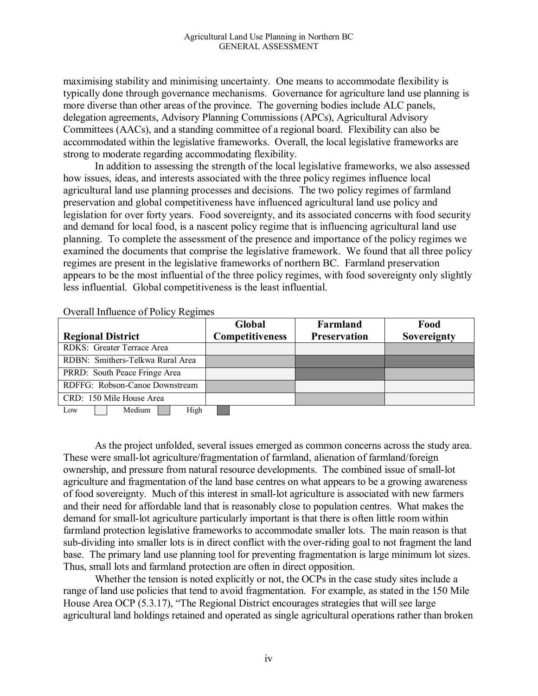maximising stability and minimising uncertainty. One means to accommodate flexibility is typically done through governance mechanisms. Governance for agriculture land use planning is more diverse than other areas of the province. The governing bodies include ALC panels, delegation agreements, Advisory Planning Commissions (APCs), Agricultural Advisory Committees (AACs), and a standing committee of a regional board. Flexibility can also be accommodated within the legislative frameworks. Overall, the local legislative frameworks are strong to moderate regarding accommodating flexibility.

In addition to assessing the strength of the local legislative frameworks, we also assessed how issues, ideas, and interests associated with the three policy regimes influence local agricultural land use planning processes and decisions. The two policy regimes of farmland preservation and global competitiveness have influenced agricultural land use policy and legislation for over forty years. Food sovereignty, and its associated concerns with food security and demand for local food, is a nascent policy regime that is influencing agricultural land use planning. To complete the assessment of the presence and importance of the policy regimes we examined the documents that comprise the legislative framework. We found that all three policy regimes are present in the legislative frameworks of northern BC. Farmland preservation appears to be the most influential of the three policy regimes, with food sovereignty only slightly less influential. Global competitiveness is the least influential.

Overall Influence of Policy Regimes

|                                  |                               |      | Global                 | Farmland            | Food        |
|----------------------------------|-------------------------------|------|------------------------|---------------------|-------------|
|                                  | <b>Regional District</b>      |      | <b>Competitiveness</b> | <b>Preservation</b> | Sovereignty |
| RDKS: Greater Terrace Area       |                               |      |                        |                     |             |
| RDBN: Smithers-Telkwa Rural Area |                               |      |                        |                     |             |
|                                  | PRRD: South Peace Fringe Area |      |                        |                     |             |
| RDFFG: Robson-Canoe Downstream   |                               |      |                        |                     |             |
| CRD: 150 Mile House Area         |                               |      |                        |                     |             |
| Low                              | Medium                        | High |                        |                     |             |

As the project unfolded, several issues emerged as common concerns across the study area. These were small-lot agriculture/fragmentation of farmland, alienation of farmland/foreign ownership, and pressure from natural resource developments. The combined issue of small-lot agriculture and fragmentation of the land base centres on what appears to be a growing awareness of food sovereignty. Much of this interest in small-lot agriculture is associated with new farmers and their need for affordable land that is reasonably close to population centres. What makes the demand for small-lot agriculture particularly important is that there is often little room within farmland protection legislative frameworks to accommodate smaller lots. The main reason is that sub-dividing into smaller lots is in direct conflict with the over-riding goal to not fragment the land base. The primary land use planning tool for preventing fragmentation is large minimum lot sizes. Thus, small lots and farmland protection are often in direct opposition.

Whether the tension is noted explicitly or not, the OCPs in the case study sites include a range of land use policies that tend to avoid fragmentation. For example, as stated in the 150 Mile House Area OCP (5.3.17), "The Regional District encourages strategies that will see large agricultural land holdings retained and operated as single agricultural operations rather than broken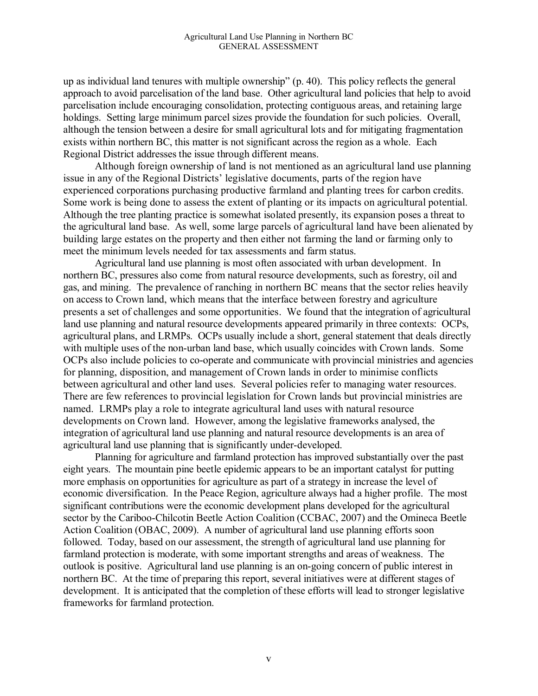up as individual land tenures with multiple ownership" (p. 40). This policy reflects the general approach to avoid parcelisation of the land base. Other agricultural land policies that help to avoid parcelisation include encouraging consolidation, protecting contiguous areas, and retaining large holdings. Setting large minimum parcel sizes provide the foundation for such policies. Overall, although the tension between a desire for small agricultural lots and for mitigating fragmentation exists within northern BC, this matter is not significant across the region as a whole. Each Regional District addresses the issue through different means.

Although foreign ownership of land is not mentioned as an agricultural land use planning issue in any of the Regional Districts' legislative documents, parts of the region have experienced corporations purchasing productive farmland and planting trees for carbon credits. Some work is being done to assess the extent of planting or its impacts on agricultural potential. Although the tree planting practice is somewhat isolated presently, its expansion poses a threat to the agricultural land base. As well, some large parcels of agricultural land have been alienated by building large estates on the property and then either not farming the land or farming only to meet the minimum levels needed for tax assessments and farm status.

Agricultural land use planning is most often associated with urban development. In northern BC, pressures also come from natural resource developments, such as forestry, oil and gas, and mining. The prevalence of ranching in northern BC means that the sector relies heavily on access to Crown land, which means that the interface between forestry and agriculture presents a set of challenges and some opportunities. We found that the integration of agricultural land use planning and natural resource developments appeared primarily in three contexts: OCPs, agricultural plans, and LRMPs. OCPs usually include a short, general statement that deals directly with multiple uses of the non-urban land base, which usually coincides with Crown lands. Some OCPs also include policies to co-operate and communicate with provincial ministries and agencies for planning, disposition, and management of Crown lands in order to minimise conflicts between agricultural and other land uses. Several policies refer to managing water resources. There are few references to provincial legislation for Crown lands but provincial ministries are named. LRMPs play a role to integrate agricultural land uses with natural resource developments on Crown land. However, among the legislative frameworks analysed, the integration of agricultural land use planning and natural resource developments is an area of agricultural land use planning that is significantly under-developed.

Planning for agriculture and farmland protection has improved substantially over the past eight years. The mountain pine beetle epidemic appears to be an important catalyst for putting more emphasis on opportunities for agriculture as part of a strategy in increase the level of economic diversification. In the Peace Region, agriculture always had a higher profile. The most significant contributions were the economic development plans developed for the agricultural sector by the Cariboo-Chilcotin Beetle Action Coalition (CCBAC, 2007) and the Omineca Beetle Action Coalition (OBAC, 2009). A number of agricultural land use planning efforts soon followed. Today, based on our assessment, the strength of agricultural land use planning for farmland protection is moderate, with some important strengths and areas of weakness. The outlook is positive. Agricultural land use planning is an on-going concern of public interest in northern BC. At the time of preparing this report, several initiatives were at different stages of development. It is anticipated that the completion of these efforts will lead to stronger legislative frameworks for farmland protection.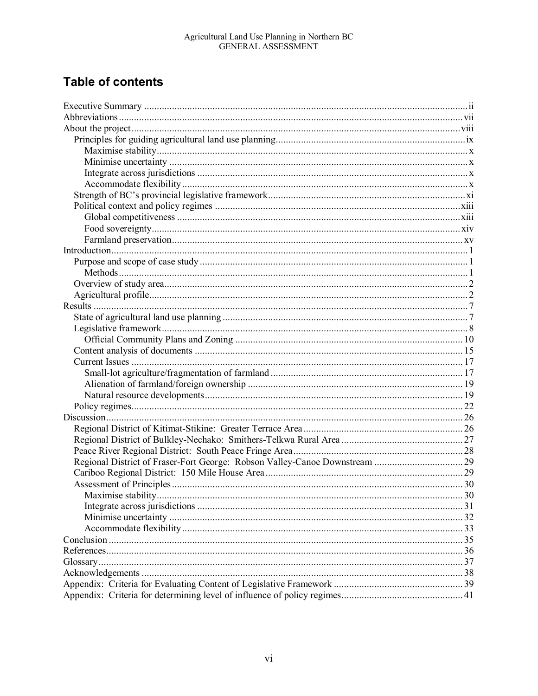# **Table of contents**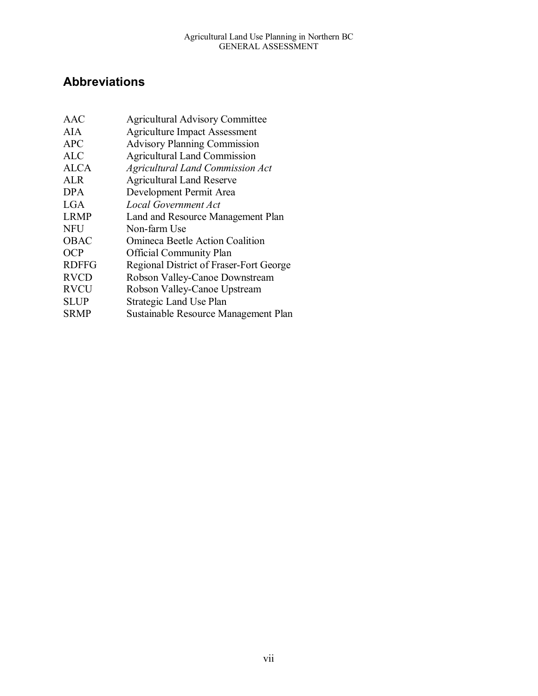# **Abbreviations**

| <b>AAC</b>   | <b>Agricultural Advisory Committee</b>  |
|--------------|-----------------------------------------|
| AIA.         | <b>Agriculture Impact Assessment</b>    |
| <b>APC</b>   | <b>Advisory Planning Commission</b>     |
| <b>ALC</b>   | <b>Agricultural Land Commission</b>     |
| <b>ALCA</b>  | <b>Agricultural Land Commission Act</b> |
| <b>ALR</b>   | <b>Agricultural Land Reserve</b>        |
| <b>DPA</b>   | Development Permit Area                 |
| <b>LGA</b>   | <b>Local Government Act</b>             |
| <b>LRMP</b>  | Land and Resource Management Plan       |
| <b>NFU</b>   | Non-farm Use                            |
| <b>OBAC</b>  | <b>Omineca Beetle Action Coalition</b>  |
| <b>OCP</b>   | <b>Official Community Plan</b>          |
| <b>RDFFG</b> | Regional District of Fraser-Fort George |
| <b>RVCD</b>  | Robson Valley-Canoe Downstream          |
| <b>RVCU</b>  | Robson Valley-Canoe Upstream            |
| <b>SLUP</b>  | Strategic Land Use Plan                 |
| <b>SRMP</b>  | Sustainable Resource Management Plan    |
|              |                                         |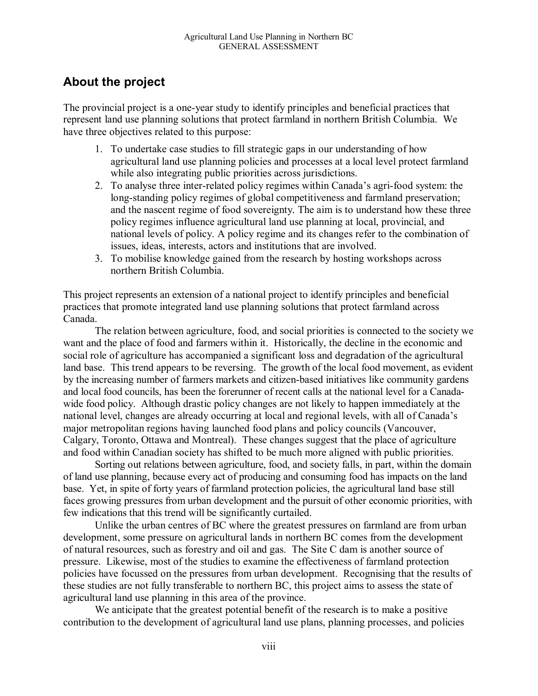# **About the project**

The provincial project is a one-year study to identify principles and beneficial practices that represent land use planning solutions that protect farmland in northern British Columbia. We have three objectives related to this purpose:

- 1. To undertake case studies to fill strategic gaps in our understanding of how agricultural land use planning policies and processes at a local level protect farmland while also integrating public priorities across jurisdictions.
- 2. To analyse three inter-related policy regimes within Canada's agri-food system: the long-standing policy regimes of global competitiveness and farmland preservation; and the nascent regime of food sovereignty. The aim is to understand how these three policy regimes influence agricultural land use planning at local, provincial, and national levels of policy. A policy regime and its changes refer to the combination of issues, ideas, interests, actors and institutions that are involved.
- 3. To mobilise knowledge gained from the research by hosting workshops across northern British Columbia.

This project represents an extension of a national project to identify principles and beneficial practices that promote integrated land use planning solutions that protect farmland across Canada.

The relation between agriculture, food, and social priorities is connected to the society we want and the place of food and farmers within it. Historically, the decline in the economic and social role of agriculture has accompanied a significant loss and degradation of the agricultural land base. This trend appears to be reversing. The growth of the local food movement, as evident by the increasing number of farmers markets and citizen-based initiatives like community gardens and local food councils, has been the forerunner of recent calls at the national level for a Canadawide food policy. Although drastic policy changes are not likely to happen immediately at the national level, changes are already occurring at local and regional levels, with all of Canada's major metropolitan regions having launched food plans and policy councils (Vancouver, Calgary, Toronto, Ottawa and Montreal). These changes suggest that the place of agriculture and food within Canadian society has shifted to be much more aligned with public priorities.

Sorting out relations between agriculture, food, and society falls, in part, within the domain of land use planning, because every act of producing and consuming food has impacts on the land base. Yet, in spite of forty years of farmland protection policies, the agricultural land base still faces growing pressures from urban development and the pursuit of other economic priorities, with few indications that this trend will be significantly curtailed.

Unlike the urban centres of BC where the greatest pressures on farmland are from urban development, some pressure on agricultural lands in northern BC comes from the development of natural resources, such as forestry and oil and gas. The Site C dam is another source of pressure. Likewise, most of the studies to examine the effectiveness of farmland protection policies have focussed on the pressures from urban development. Recognising that the results of these studies are not fully transferable to northern BC, this project aims to assess the state of agricultural land use planning in this area of the province.

We anticipate that the greatest potential benefit of the research is to make a positive contribution to the development of agricultural land use plans, planning processes, and policies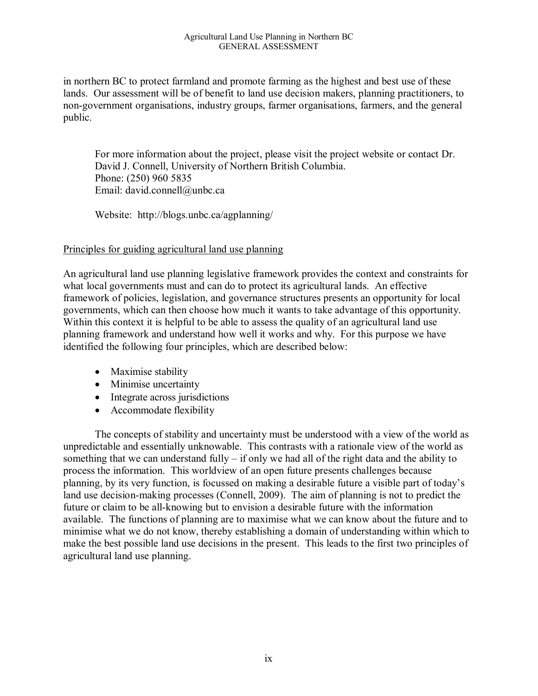in northern BC to protect farmland and promote farming as the highest and best use of these lands. Our assessment will be of benefit to land use decision makers, planning practitioners, to non-government organisations, industry groups, farmer organisations, farmers, and the general public.

For more information about the project, please visit the project website or contact Dr. David J. Connell, University of Northern British Columbia. Phone: (250) 960 5835 Email: david.connell@unbc.ca

Website: http://blogs.unbc.ca/agplanning/

#### Principles for guiding agricultural land use planning

An agricultural land use planning legislative framework provides the context and constraints for what local governments must and can do to protect its agricultural lands. An effective framework of policies, legislation, and governance structures presents an opportunity for local governments, which can then choose how much it wants to take advantage of this opportunity. Within this context it is helpful to be able to assess the quality of an agricultural land use planning framework and understand how well it works and why. For this purpose we have identified the following four principles, which are described below:

- Maximise stability
- Minimise uncertainty
- Integrate across jurisdictions
- Accommodate flexibility

The concepts of stability and uncertainty must be understood with a view of the world as unpredictable and essentially unknowable. This contrasts with a rationale view of the world as something that we can understand fully – if only we had all of the right data and the ability to process the information. This worldview of an open future presents challenges because planning, by its very function, is focussed on making a desirable future a visible part of today's land use decision-making processes (Connell, 2009). The aim of planning is not to predict the future or claim to be all-knowing but to envision a desirable future with the information available. The functions of planning are to maximise what we can know about the future and to minimise what we do not know, thereby establishing a domain of understanding within which to make the best possible land use decisions in the present. This leads to the first two principles of agricultural land use planning.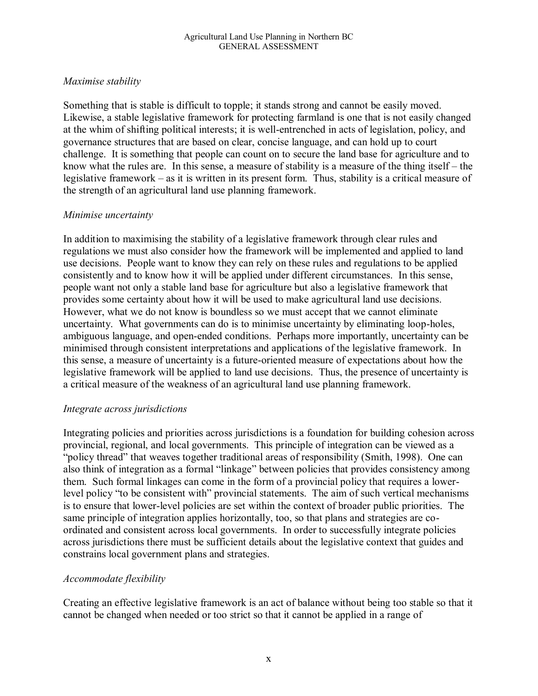#### *Maximise stability*

Something that is stable is difficult to topple; it stands strong and cannot be easily moved. Likewise, a stable legislative framework for protecting farmland is one that is not easily changed at the whim of shifting political interests; it is well-entrenched in acts of legislation, policy, and governance structures that are based on clear, concise language, and can hold up to court challenge. It is something that people can count on to secure the land base for agriculture and to know what the rules are. In this sense, a measure of stability is a measure of the thing itself – the legislative framework – as it is written in its present form. Thus, stability is a critical measure of the strength of an agricultural land use planning framework.

#### *Minimise uncertainty*

In addition to maximising the stability of a legislative framework through clear rules and regulations we must also consider how the framework will be implemented and applied to land use decisions. People want to know they can rely on these rules and regulations to be applied consistently and to know how it will be applied under different circumstances. In this sense, people want not only a stable land base for agriculture but also a legislative framework that provides some certainty about how it will be used to make agricultural land use decisions. However, what we do not know is boundless so we must accept that we cannot eliminate uncertainty. What governments can do is to minimise uncertainty by eliminating loop-holes, ambiguous language, and open-ended conditions. Perhaps more importantly, uncertainty can be minimised through consistent interpretations and applications of the legislative framework. In this sense, a measure of uncertainty is a future-oriented measure of expectations about how the legislative framework will be applied to land use decisions. Thus, the presence of uncertainty is a critical measure of the weakness of an agricultural land use planning framework.

#### *Integrate across jurisdictions*

Integrating policies and priorities across jurisdictions is a foundation for building cohesion across provincial, regional, and local governments. This principle of integration can be viewed as a "policy thread" that weaves together traditional areas of responsibility (Smith, 1998). One can also think of integration as a formal "linkage" between policies that provides consistency among them. Such formal linkages can come in the form of a provincial policy that requires a lowerlevel policy "to be consistent with" provincial statements. The aim of such vertical mechanisms is to ensure that lower-level policies are set within the context of broader public priorities. The same principle of integration applies horizontally, too, so that plans and strategies are coordinated and consistent across local governments. In order to successfully integrate policies across jurisdictions there must be sufficient details about the legislative context that guides and constrains local government plans and strategies.

### *Accommodate flexibility*

Creating an effective legislative framework is an act of balance without being too stable so that it cannot be changed when needed or too strict so that it cannot be applied in a range of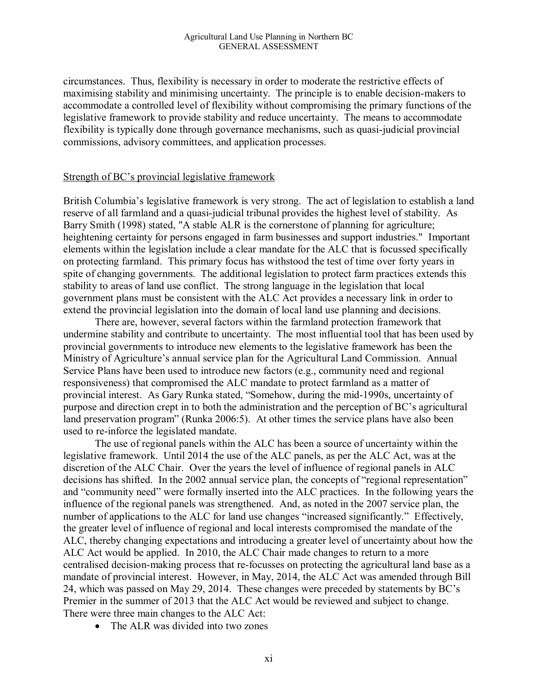circumstances. Thus, flexibility is necessary in order to moderate the restrictive effects of maximising stability and minimising uncertainty. The principle is to enable decision-makers to accommodate a controlled level of flexibility without compromising the primary functions of the legislative framework to provide stability and reduce uncertainty. The means to accommodate flexibility is typically done through governance mechanisms, such as quasi-judicial provincial commissions, advisory committees, and application processes.

#### Strength of BC's provincial legislative framework

British Columbia's legislative framework is very strong. The act of legislation to establish a land reserve of all farmland and a quasi-judicial tribunal provides the highest level of stability. As Barry Smith (1998) stated, "A stable ALR is the cornerstone of planning for agriculture; heightening certainty for persons engaged in farm businesses and support industries." Important elements within the legislation include a clear mandate for the ALC that is focussed specifically on protecting farmland. This primary focus has withstood the test of time over forty years in spite of changing governments. The additional legislation to protect farm practices extends this stability to areas of land use conflict. The strong language in the legislation that local government plans must be consistent with the ALC Act provides a necessary link in order to extend the provincial legislation into the domain of local land use planning and decisions.

There are, however, several factors within the farmland protection framework that undermine stability and contribute to uncertainty. The most influential tool that has been used by provincial governments to introduce new elements to the legislative framework has been the Ministry of Agriculture's annual service plan for the Agricultural Land Commission. Annual Service Plans have been used to introduce new factors (e.g., community need and regional responsiveness) that compromised the ALC mandate to protect farmland as a matter of provincial interest. As Gary Runka stated, "Somehow, during the mid-1990s, uncertainty of purpose and direction crept in to both the administration and the perception of BC's agricultural land preservation program" (Runka 2006:5). At other times the service plans have also been used to re-inforce the legislated mandate.

The use of regional panels within the ALC has been a source of uncertainty within the legislative framework. Until 2014 the use of the ALC panels, as per the ALC Act, was at the discretion of the ALC Chair. Over the years the level of influence of regional panels in ALC decisions has shifted. In the 2002 annual service plan, the concepts of "regional representation" and "community need" were formally inserted into the ALC practices. In the following years the influence of the regional panels was strengthened. And, as noted in the 2007 service plan, the number of applications to the ALC for land use changes "increased significantly." Effectively, the greater level of influence of regional and local interests compromised the mandate of the ALC, thereby changing expectations and introducing a greater level of uncertainty about how the ALC Act would be applied. In 2010, the ALC Chair made changes to return to a more centralised decision-making process that re-focusses on protecting the agricultural land base as a mandate of provincial interest. However, in May, 2014, the ALC Act was amended through Bill 24, which was passed on May 29, 2014. These changes were preceded by statements by BC's Premier in the summer of 2013 that the ALC Act would be reviewed and subject to change. There were three main changes to the ALC Act:

• The ALR was divided into two zones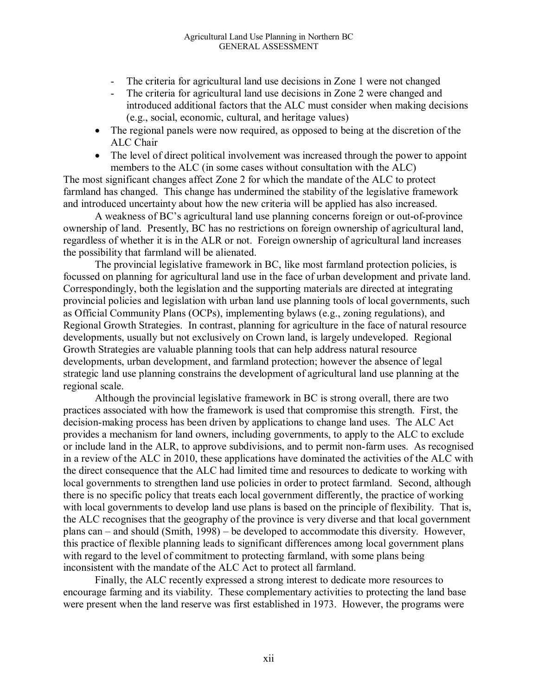- The criteria for agricultural land use decisions in Zone 1 were not changed<br>- The criteria for agricultural land use decisions in Zone 2 were changed and
- The criteria for agricultural land use decisions in Zone 2 were changed and introduced additional factors that the ALC must consider when making decisions (e.g., social, economic, cultural, and heritage values)
- The regional panels were now required, as opposed to being at the discretion of the ALC Chair
- The level of direct political involvement was increased through the power to appoint members to the ALC (in some cases without consultation with the ALC)

The most significant changes affect Zone 2 for which the mandate of the ALC to protect farmland has changed. This change has undermined the stability of the legislative framework and introduced uncertainty about how the new criteria will be applied has also increased.

A weakness of BC's agricultural land use planning concerns foreign or out-of-province ownership of land. Presently, BC has no restrictions on foreign ownership of agricultural land, regardless of whether it is in the ALR or not. Foreign ownership of agricultural land increases the possibility that farmland will be alienated.

The provincial legislative framework in BC, like most farmland protection policies, is focussed on planning for agricultural land use in the face of urban development and private land. Correspondingly, both the legislation and the supporting materials are directed at integrating provincial policies and legislation with urban land use planning tools of local governments, such as Official Community Plans (OCPs), implementing bylaws (e.g., zoning regulations), and Regional Growth Strategies. In contrast, planning for agriculture in the face of natural resource developments, usually but not exclusively on Crown land, is largely undeveloped. Regional Growth Strategies are valuable planning tools that can help address natural resource developments, urban development, and farmland protection; however the absence of legal strategic land use planning constrains the development of agricultural land use planning at the regional scale.

Although the provincial legislative framework in BC is strong overall, there are two practices associated with how the framework is used that compromise this strength. First, the decision-making process has been driven by applications to change land uses. The ALC Act provides a mechanism for land owners, including governments, to apply to the ALC to exclude or include land in the ALR, to approve subdivisions, and to permit non-farm uses. As recognised in a review of the ALC in 2010, these applications have dominated the activities of the ALC with the direct consequence that the ALC had limited time and resources to dedicate to working with local governments to strengthen land use policies in order to protect farmland. Second, although there is no specific policy that treats each local government differently, the practice of working with local governments to develop land use plans is based on the principle of flexibility. That is, the ALC recognises that the geography of the province is very diverse and that local government plans can – and should (Smith, 1998) – be developed to accommodate this diversity. However, this practice of flexible planning leads to significant differences among local government plans with regard to the level of commitment to protecting farmland, with some plans being inconsistent with the mandate of the ALC Act to protect all farmland.

Finally, the ALC recently expressed a strong interest to dedicate more resources to encourage farming and its viability. These complementary activities to protecting the land base were present when the land reserve was first established in 1973. However, the programs were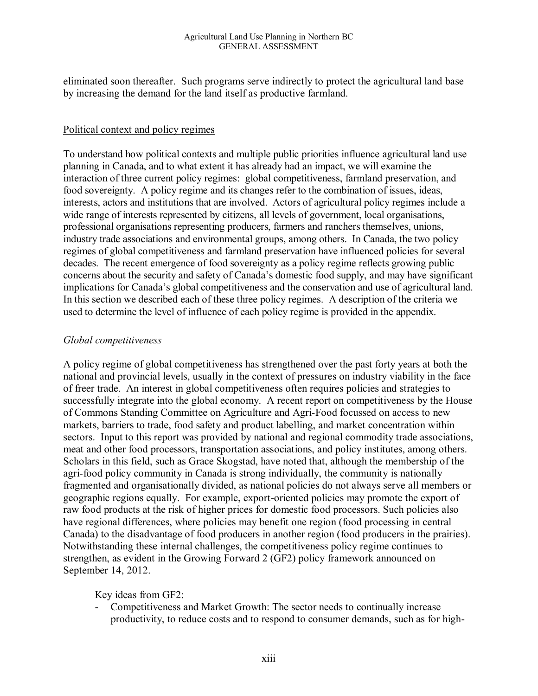eliminated soon thereafter. Such programs serve indirectly to protect the agricultural land base by increasing the demand for the land itself as productive farmland.

#### Political context and policy regimes

To understand how political contexts and multiple public priorities influence agricultural land use planning in Canada, and to what extent it has already had an impact, we will examine the interaction of three current policy regimes: global competitiveness, farmland preservation, and food sovereignty. A policy regime and its changes refer to the combination of issues, ideas, interests, actors and institutions that are involved. Actors of agricultural policy regimes include a wide range of interests represented by citizens, all levels of government, local organisations, professional organisations representing producers, farmers and ranchers themselves, unions, industry trade associations and environmental groups, among others. In Canada, the two policy regimes of global competitiveness and farmland preservation have influenced policies for several decades. The recent emergence of food sovereignty as a policy regime reflects growing public concerns about the security and safety of Canada's domestic food supply, and may have significant implications for Canada's global competitiveness and the conservation and use of agricultural land. In this section we described each of these three policy regimes. A description of the criteria we used to determine the level of influence of each policy regime is provided in the appendix.

#### *Global competitiveness*

A policy regime of global competitiveness has strengthened over the past forty years at both the national and provincial levels, usually in the context of pressures on industry viability in the face of freer trade. An interest in global competitiveness often requires policies and strategies to successfully integrate into the global economy. A recent report on competitiveness by the House of Commons Standing Committee on Agriculture and Agri-Food focussed on access to new markets, barriers to trade, food safety and product labelling, and market concentration within sectors. Input to this report was provided by national and regional commodity trade associations, meat and other food processors, transportation associations, and policy institutes, among others. Scholars in this field, such as Grace Skogstad, have noted that, although the membership of the agri-food policy community in Canada is strong individually, the community is nationally fragmented and organisationally divided, as national policies do not always serve all members or geographic regions equally. For example, export-oriented policies may promote the export of raw food products at the risk of higher prices for domestic food processors. Such policies also have regional differences, where policies may benefit one region (food processing in central Canada) to the disadvantage of food producers in another region (food producers in the prairies). Notwithstanding these internal challenges, the competitiveness policy regime continues to strengthen, as evident in the Growing Forward 2 (GF2) policy framework announced on September 14, 2012.

Key ideas from GF2:

- Competitiveness and Market Growth: The sector needs to continually increase productivity, to reduce costs and to respond to consumer demands, such as for high-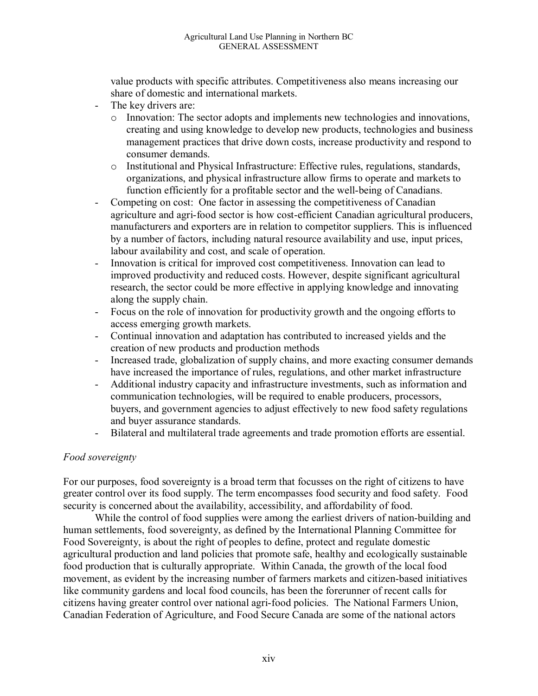value products with specific attributes. Competitiveness also means increasing our share of domestic and international markets.

- The key drivers are:
	- o Innovation: The sector adopts and implements new technologies and innovations, creating and using knowledge to develop new products, technologies and business management practices that drive down costs, increase productivity and respond to consumer demands.
	- o Institutional and Physical Infrastructure: Effective rules, regulations, standards, organizations, and physical infrastructure allow firms to operate and markets to function efficiently for a profitable sector and the well-being of Canadians.
- Competing on cost: One factor in assessing the competitiveness of Canadian agriculture and agri-food sector is how cost-efficient Canadian agricultural producers, manufacturers and exporters are in relation to competitor suppliers. This is influenced by a number of factors, including natural resource availability and use, input prices, labour availability and cost, and scale of operation.
- Innovation is critical for improved cost competitiveness. Innovation can lead to improved productivity and reduced costs. However, despite significant agricultural research, the sector could be more effective in applying knowledge and innovating along the supply chain.
- Focus on the role of innovation for productivity growth and the ongoing efforts to access emerging growth markets.
- Continual innovation and adaptation has contributed to increased yields and the creation of new products and production methods
- Increased trade, globalization of supply chains, and more exacting consumer demands have increased the importance of rules, regulations, and other market infrastructure
- Additional industry capacity and infrastructure investments, such as information and communication technologies, will be required to enable producers, processors, buyers, and government agencies to adjust effectively to new food safety regulations and buyer assurance standards.
- Bilateral and multilateral trade agreements and trade promotion efforts are essential.

#### *Food sovereignty*

For our purposes, food sovereignty is a broad term that focusses on the right of citizens to have greater control over its food supply. The term encompasses food security and food safety. Food security is concerned about the availability, accessibility, and affordability of food.

While the control of food supplies were among the earliest drivers of nation-building and human settlements, food sovereignty, as defined by the International Planning Committee for Food Sovereignty, is about the right of peoples to define, protect and regulate domestic agricultural production and land policies that promote safe, healthy and ecologically sustainable food production that is culturally appropriate. Within Canada, the growth of the local food movement, as evident by the increasing number of farmers markets and citizen-based initiatives like community gardens and local food councils, has been the forerunner of recent calls for citizens having greater control over national agri-food policies. The National Farmers Union, Canadian Federation of Agriculture, and Food Secure Canada are some of the national actors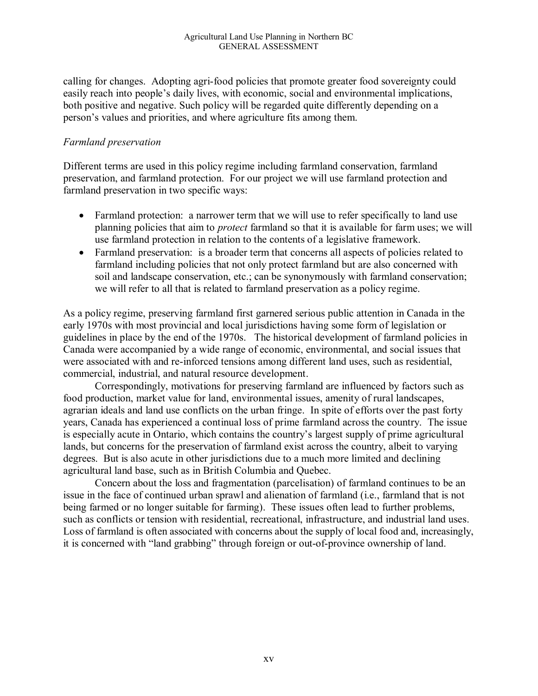calling for changes. Adopting agri-food policies that promote greater food sovereignty could easily reach into people's daily lives, with economic, social and environmental implications, both positive and negative. Such policy will be regarded quite differently depending on a person's values and priorities, and where agriculture fits among them.

#### *Farmland preservation*

Different terms are used in this policy regime including farmland conservation, farmland preservation, and farmland protection. For our project we will use farmland protection and farmland preservation in two specific ways:

- Farmland protection: a narrower term that we will use to refer specifically to land use planning policies that aim to *protect* farmland so that it is available for farm uses; we will use farmland protection in relation to the contents of a legislative framework.
- Farmland preservation: is a broader term that concerns all aspects of policies related to farmland including policies that not only protect farmland but are also concerned with soil and landscape conservation, etc.; can be synonymously with farmland conservation; we will refer to all that is related to farmland preservation as a policy regime.

As a policy regime, preserving farmland first garnered serious public attention in Canada in the early 1970s with most provincial and local jurisdictions having some form of legislation or guidelines in place by the end of the 1970s. The historical development of farmland policies in Canada were accompanied by a wide range of economic, environmental, and social issues that were associated with and re-inforced tensions among different land uses, such as residential, commercial, industrial, and natural resource development.

Correspondingly, motivations for preserving farmland are influenced by factors such as food production, market value for land, environmental issues, amenity of rural landscapes, agrarian ideals and land use conflicts on the urban fringe. In spite of efforts over the past forty years, Canada has experienced a continual loss of prime farmland across the country. The issue is especially acute in Ontario, which contains the country's largest supply of prime agricultural lands, but concerns for the preservation of farmland exist across the country, albeit to varying degrees. But is also acute in other jurisdictions due to a much more limited and declining agricultural land base, such as in British Columbia and Quebec.

Concern about the loss and fragmentation (parcelisation) of farmland continues to be an issue in the face of continued urban sprawl and alienation of farmland (i.e., farmland that is not being farmed or no longer suitable for farming). These issues often lead to further problems, such as conflicts or tension with residential, recreational, infrastructure, and industrial land uses. Loss of farmland is often associated with concerns about the supply of local food and, increasingly, it is concerned with "land grabbing" through foreign or out-of-province ownership of land.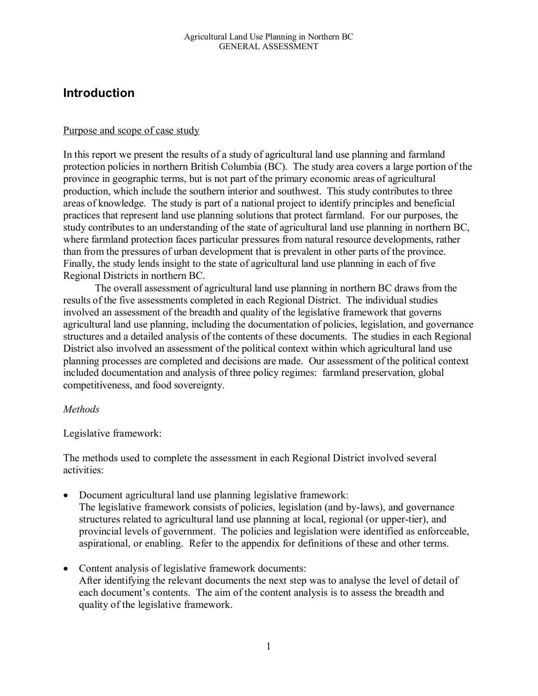# **Introduction**

#### Purpose and scope of case study

In this report we present the results of a study of agricultural land use planning and farmland protection policies in northern British Columbia (BC). The study area covers a large portion of the province in geographic terms, but is not part of the primary economic areas of agricultural production, which include the southern interior and southwest. This study contributes to three areas of knowledge. The study is part of a national project to identify principles and beneficial practices that represent land use planning solutions that protect farmland. For our purposes, the study contributes to an understanding of the state of agricultural land use planning in northern BC, where farmland protection faces particular pressures from natural resource developments, rather than from the pressures of urban development that is prevalent in other parts of the province. Finally, the study lends insight to the state of agricultural land use planning in each of five Regional Districts in northern BC.

The overall assessment of agricultural land use planning in northern BC draws from the results of the five assessments completed in each Regional District. The individual studies involved an assessment of the breadth and quality of the legislative framework that governs agricultural land use planning, including the documentation of policies, legislation, and governance structures and a detailed analysis of the contents of these documents. The studies in each Regional District also involved an assessment of the political context within which agricultural land use planning processes are completed and decisions are made. Our assessment of the political context included documentation and analysis of three policy regimes: farmland preservation, global competitiveness, and food sovereignty.

#### *Methods*

Legislative framework:

The methods used to complete the assessment in each Regional District involved several activities:

- Document agricultural land use planning legislative framework: The legislative framework consists of policies, legislation (and by-laws), and governance structures related to agricultural land use planning at local, regional (or upper-tier), and provincial levels of government. The policies and legislation were identified as enforceable, aspirational, or enabling. Refer to the appendix for definitions of these and other terms.
- Content analysis of legislative framework documents: After identifying the relevant documents the next step was to analyse the level of detail of each document's contents. The aim of the content analysis is to assess the breadth and quality of the legislative framework.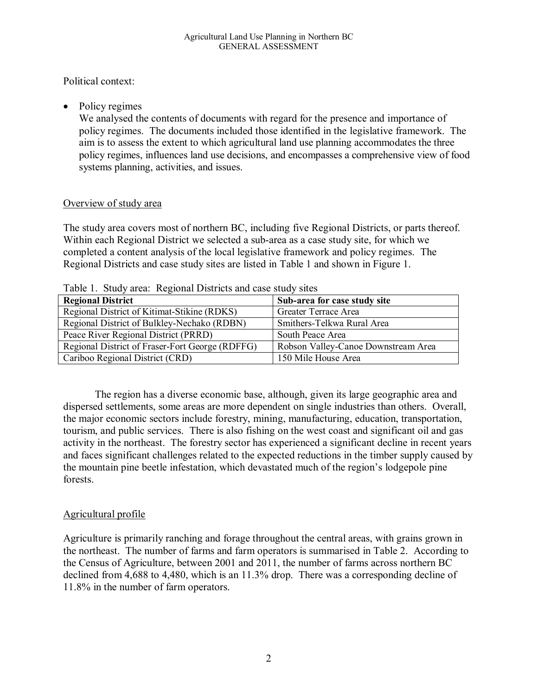Political context:

• Policy regimes

We analysed the contents of documents with regard for the presence and importance of policy regimes. The documents included those identified in the legislative framework. The aim is to assess the extent to which agricultural land use planning accommodates the three policy regimes, influences land use decisions, and encompasses a comprehensive view of food systems planning, activities, and issues.

#### Overview of study area

The study area covers most of northern BC, including five Regional Districts, or parts thereof. Within each Regional District we selected a sub-area as a case study site, for which we completed a content analysis of the local legislative framework and policy regimes. The Regional Districts and case study sites are listed in Table 1 and shown in Figure 1.

| <b>Regional District</b>                        | Sub-area for case study site        |
|-------------------------------------------------|-------------------------------------|
| Regional District of Kitimat-Stikine (RDKS)     | Greater Terrace Area                |
| Regional District of Bulkley-Nechako (RDBN)     | Smithers-Telkwa Rural Area          |
| Peace River Regional District (PRRD)            | South Peace Area                    |
| Regional District of Fraser-Fort George (RDFFG) | Robson Valley-Canoe Downstream Area |
| Cariboo Regional District (CRD)                 | 150 Mile House Area                 |

Table 1. Study area: Regional Districts and case study sites

The region has a diverse economic base, although, given its large geographic area and dispersed settlements, some areas are more dependent on single industries than others. Overall, the major economic sectors include forestry, mining, manufacturing, education, transportation, tourism, and public services. There is also fishing on the west coast and significant oil and gas activity in the northeast. The forestry sector has experienced a significant decline in recent years and faces significant challenges related to the expected reductions in the timber supply caused by the mountain pine beetle infestation, which devastated much of the region's lodgepole pine forests.

### Agricultural profile

Agriculture is primarily ranching and forage throughout the central areas, with grains grown in the northeast. The number of farms and farm operators is summarised in Table 2. According to the Census of Agriculture, between 2001 and 2011, the number of farms across northern BC declined from 4,688 to 4,480, which is an 11.3% drop. There was a corresponding decline of 11.8% in the number of farm operators.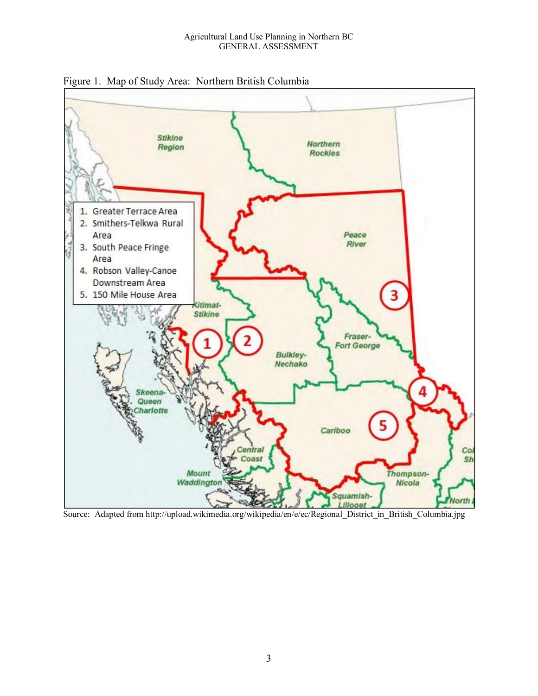

Figure 1. Map of Study Area: Northern British Columbia

Source: Adapted from http://upload.wikimedia.org/wikipedia/en/e/ec/Regional\_District\_in\_British\_Columbia.jpg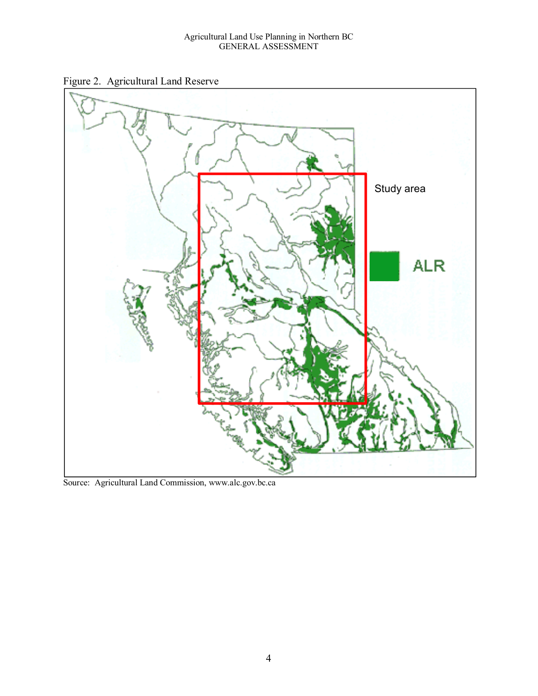#### Agricultural Land Use Planning in Northern BC GENERAL ASSESSMENT

Figure 2. Agricultural Land Reserve



Source: Agricultural Land Commission, www.alc.gov.bc.ca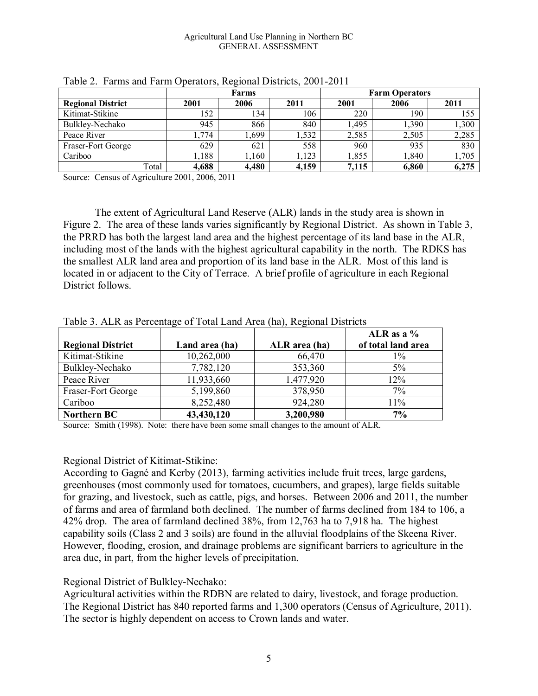#### Agricultural Land Use Planning in Northern BC GENERAL ASSESSMENT

|                          | <b>Farms</b> |       |       | <b>Farm Operators</b> |       |       |  |
|--------------------------|--------------|-------|-------|-----------------------|-------|-------|--|
| <b>Regional District</b> | 2001         | 2006  | 2011  | 2001                  | 2006  | 2011  |  |
| Kitimat-Stikine          | 152          | 134   | 106   | 220                   | 190   | 155   |  |
| Bulkley-Nechako          | 945          | 866   | 840   | 1,495                 | .,390 | 1,300 |  |
| Peace River              | ,774         | ,699  | ,532  | 2,585                 | 2,505 | 2,285 |  |
| Fraser-Fort George       | 629          | 621   | 558   | 960                   | 935   | 830   |  |
| Cariboo                  | 1,188        | 1,160 | 1,123 | 1,855                 | .840  | 1,705 |  |
| Total                    | 4,688        | 4,480 | 4,159 | 7.115                 | 6.860 | 6,275 |  |

|  | Table 2. Farms and Farm Operators, Regional Districts, 2001-2011 |  |  |  |  |  |
|--|------------------------------------------------------------------|--|--|--|--|--|
|--|------------------------------------------------------------------|--|--|--|--|--|

Source: Census of Agriculture 2001, 2006, 2011

The extent of Agricultural Land Reserve (ALR) lands in the study area is shown in Figure 2. The area of these lands varies significantly by Regional District. As shown in Table 3, the PRRD has both the largest land area and the highest percentage of its land base in the ALR, including most of the lands with the highest agricultural capability in the north. The RDKS has the smallest ALR land area and proportion of its land base in the ALR. Most of this land is located in or adjacent to the City of Terrace. A brief profile of agriculture in each Regional District follows.

| ( <i></i> ), <del></del> |                |               |                                    |  |  |  |
|--------------------------|----------------|---------------|------------------------------------|--|--|--|
| <b>Regional District</b> | Land area (ha) | ALR area (ha) | ALR as a $%$<br>of total land area |  |  |  |
| Kitimat-Stikine          | 10,262,000     | 66,470        | $1\%$                              |  |  |  |
| Bulkley-Nechako          | 7,782,120      | 353,360       | $5\%$                              |  |  |  |
| Peace River              | 11,933,660     | 1,477,920     | 12%                                |  |  |  |
| Fraser-Fort George       | 5,199,860      | 378,950       | 7%                                 |  |  |  |
| Cariboo                  | 8,252,480      | 924,280       | 11%                                |  |  |  |
| <b>Northern BC</b>       | 43,430,120     | 3,200,980     | 7%                                 |  |  |  |

Table 3. ALR as Percentage of Total Land Area (ha), Regional Districts

Source: Smith (1998). Note: there have been some small changes to the amount of ALR.

#### Regional District of Kitimat-Stikine:

According to Gagné and Kerby (2013), farming activities include fruit trees, large gardens, greenhouses (most commonly used for tomatoes, cucumbers, and grapes), large fields suitable for grazing, and livestock, such as cattle, pigs, and horses. Between 2006 and 2011, the number of farms and area of farmland both declined. The number of farms declined from 184 to 106, a 42% drop. The area of farmland declined 38%, from 12,763 ha to 7,918 ha. The highest capability soils (Class 2 and 3 soils) are found in the alluvial floodplains of the Skeena River. However, flooding, erosion, and drainage problems are significant barriers to agriculture in the area due, in part, from the higher levels of precipitation.

#### Regional District of Bulkley-Nechako:

Agricultural activities within the RDBN are related to dairy, livestock, and forage production. The Regional District has 840 reported farms and 1,300 operators (Census of Agriculture, 2011). The sector is highly dependent on access to Crown lands and water.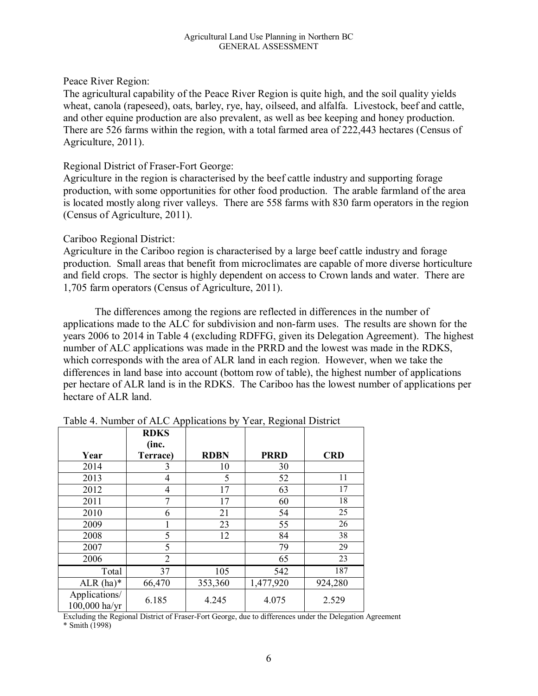Peace River Region:

The agricultural capability of the Peace River Region is quite high, and the soil quality yields wheat, canola (rapeseed), oats, barley, rye, hay, oilseed, and alfalfa. Livestock, beef and cattle, and other equine production are also prevalent, as well as bee keeping and honey production. There are 526 farms within the region, with a total farmed area of 222,443 hectares (Census of Agriculture, 2011).

#### Regional District of Fraser-Fort George:

Agriculture in the region is characterised by the beef cattle industry and supporting forage production, with some opportunities for other food production. The arable farmland of the area is located mostly along river valleys. There are 558 farms with 830 farm operators in the region (Census of Agriculture, 2011).

#### Cariboo Regional District:

Agriculture in the Cariboo region is characterised by a large beef cattle industry and forage production. Small areas that benefit from microclimates are capable of more diverse horticulture and field crops. The sector is highly dependent on access to Crown lands and water. There are 1,705 farm operators (Census of Agriculture, 2011).

The differences among the regions are reflected in differences in the number of applications made to the ALC for subdivision and non-farm uses. The results are shown for the years 2006 to 2014 in Table 4 (excluding RDFFG, given its Delegation Agreement). The highest number of ALC applications was made in the PRRD and the lowest was made in the RDKS, which corresponds with the area of ALR land in each region. However, when we take the differences in land base into account (bottom row of table), the highest number of applications per hectare of ALR land is in the RDKS. The Cariboo has the lowest number of applications per hectare of ALR land.

| Year                           | <b>RDKS</b><br>(inc.<br>Terrace) | <b>RDBN</b> | <b>PRRD</b> | <b>CRD</b> |
|--------------------------------|----------------------------------|-------------|-------------|------------|
| 2014                           | 3                                | 10          | 30          |            |
| 2013                           | 4                                | 5           | 52          | 11         |
| 2012                           | 4                                | 17          | 63          | 17         |
| 2011                           | 7                                | 17          | 60          | 18         |
| 2010                           | 6                                | 21          | 54          | 25         |
| 2009                           |                                  | 23          | 55          | 26         |
| 2008                           | 5                                | 12          | 84          | 38         |
| 2007                           | 5                                |             | 79          | 29         |
| 2006                           | $\overline{2}$                   |             | 65          | 23         |
| Total                          | 37                               | 105         | 542         | 187        |
| $ALR (ha)*$                    | 66,470                           | 353,360     | 1,477,920   | 924,280    |
| Applications/<br>100,000 ha/yr | 6.185                            | 4.245       | 4.075       | 2.529      |

Table 4. Number of ALC Applications by Year, Regional District

Excluding the Regional District of Fraser-Fort George, due to differences under the Delegation Agreement \* Smith (1998)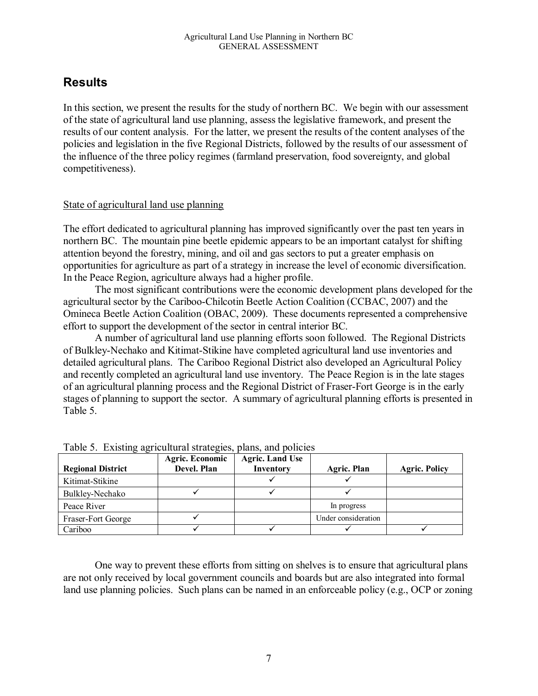# **Results**

In this section, we present the results for the study of northern BC. We begin with our assessment of the state of agricultural land use planning, assess the legislative framework, and present the results of our content analysis. For the latter, we present the results of the content analyses of the policies and legislation in the five Regional Districts, followed by the results of our assessment of the influence of the three policy regimes (farmland preservation, food sovereignty, and global competitiveness).

#### State of agricultural land use planning

The effort dedicated to agricultural planning has improved significantly over the past ten years in northern BC. The mountain pine beetle epidemic appears to be an important catalyst for shifting attention beyond the forestry, mining, and oil and gas sectors to put a greater emphasis on opportunities for agriculture as part of a strategy in increase the level of economic diversification. In the Peace Region, agriculture always had a higher profile.

The most significant contributions were the economic development plans developed for the agricultural sector by the Cariboo-Chilcotin Beetle Action Coalition (CCBAC, 2007) and the Omineca Beetle Action Coalition (OBAC, 2009). These documents represented a comprehensive effort to support the development of the sector in central interior BC.

A number of agricultural land use planning efforts soon followed. The Regional Districts of Bulkley-Nechako and Kitimat-Stikine have completed agricultural land use inventories and detailed agricultural plans. The Cariboo Regional District also developed an Agricultural Policy and recently completed an agricultural land use inventory. The Peace Region is in the late stages of an agricultural planning process and the Regional District of Fraser-Fort George is in the early stages of planning to support the sector. A summary of agricultural planning efforts is presented in Table 5.

| <b>Regional District</b> | <b>Agric. Economic</b><br>Devel. Plan | <b>Agric.</b> Land Use<br>Inventory | <b>Agric. Plan</b>  | <b>Agric. Policy</b> |
|--------------------------|---------------------------------------|-------------------------------------|---------------------|----------------------|
| Kitimat-Stikine          |                                       |                                     |                     |                      |
| Bulkley-Nechako          |                                       |                                     |                     |                      |
| Peace River              |                                       |                                     | In progress         |                      |
| Fraser-Fort George       |                                       |                                     | Under consideration |                      |
| Cariboo                  |                                       |                                     |                     |                      |

Table 5. Existing agricultural strategies, plans, and policies

One way to prevent these efforts from sitting on shelves is to ensure that agricultural plans are not only received by local government councils and boards but are also integrated into formal land use planning policies. Such plans can be named in an enforceable policy (e.g., OCP or zoning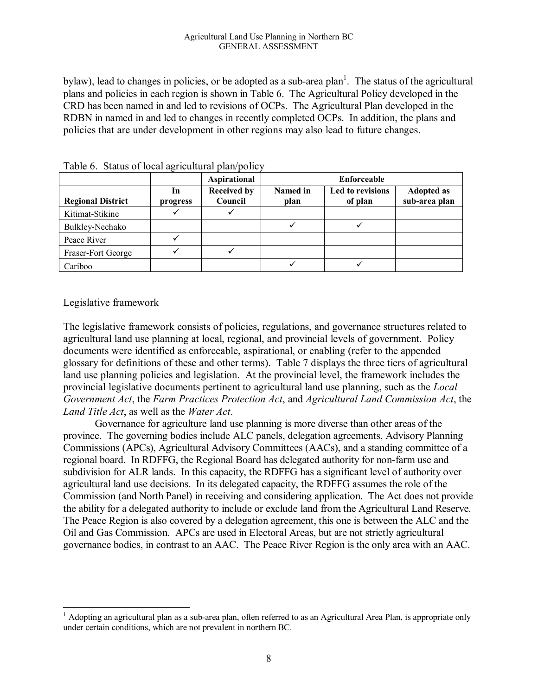bylaw), lead to changes in policies, or be adopted as a sub-area plan<sup>1</sup>. The status of the agricultural plans and policies in each region is shown in Table 6. The Agricultural Policy developed in the CRD has been named in and led to revisions of OCPs. The Agricultural Plan developed in the RDBN in named in and led to changes in recently completed OCPs. In addition, the plans and policies that are under development in other regions may also lead to future changes.

|                          |                | Aspirational                  | Enforceable      |                             |                                    |
|--------------------------|----------------|-------------------------------|------------------|-----------------------------|------------------------------------|
| <b>Regional District</b> | 1n<br>progress | <b>Received by</b><br>Council | Named in<br>plan | Led to revisions<br>of plan | <b>Adopted as</b><br>sub-area plan |
| Kitimat-Stikine          |                |                               |                  |                             |                                    |
| Bulkley-Nechako          |                |                               |                  |                             |                                    |
| Peace River              |                |                               |                  |                             |                                    |
| Fraser-Fort George       |                |                               |                  |                             |                                    |
| Cariboo                  |                |                               |                  |                             |                                    |

Table 6. Status of local agricultural plan/policy

#### Legislative framework

The legislative framework consists of policies, regulations, and governance structures related to agricultural land use planning at local, regional, and provincial levels of government. Policy documents were identified as enforceable, aspirational, or enabling (refer to the appended glossary for definitions of these and other terms). Table 7 displays the three tiers of agricultural land use planning policies and legislation. At the provincial level, the framework includes the provincial legislative documents pertinent to agricultural land use planning, such as the *Local Government Act*, the *Farm Practices Protection Act*, and *Agricultural Land Commission Act*, the *Land Title Act*, as well as the *Water Act*.

Governance for agriculture land use planning is more diverse than other areas of the province. The governing bodies include ALC panels, delegation agreements, Advisory Planning Commissions (APCs), Agricultural Advisory Committees (AACs), and a standing committee of a regional board. In RDFFG, the Regional Board has delegated authority for non-farm use and subdivision for ALR lands. In this capacity, the RDFFG has a significant level of authority over agricultural land use decisions. In its delegated capacity, the RDFFG assumes the role of the Commission (and North Panel) in receiving and considering application. The Act does not provide the ability for a delegated authority to include or exclude land from the Agricultural Land Reserve. The Peace Region is also covered by a delegation agreement, this one is between the ALC and the Oil and Gas Commission. APCs are used in Electoral Areas, but are not strictly agricultural governance bodies, in contrast to an AAC. The Peace River Region is the only area with an AAC.

 $\overline{a}$ <sup>1</sup> Adopting an agricultural plan as a sub-area plan, often referred to as an Agricultural Area Plan, is appropriate only under certain conditions, which are not prevalent in northern BC.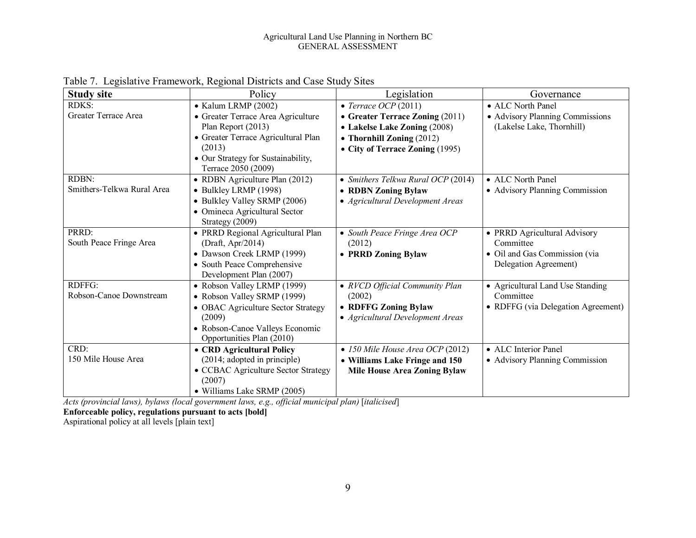#### Agricultural Land Use Planning in Northern BC GENERAL ASSESSMENT

| <b>Study site</b>          | Policy                                                    | Legislation                              | Governance                         |
|----------------------------|-----------------------------------------------------------|------------------------------------------|------------------------------------|
| <b>RDKS:</b>               | $\bullet$ Kalum LRMP (2002)                               | • Terrace OCP $(2011)$                   | • ALC North Panel                  |
| Greater Terrace Area       | • Greater Terrace Area Agriculture                        | • Greater Terrace Zoning (2011)          | • Advisory Planning Commissions    |
|                            | Plan Report (2013)                                        | • Lakelse Lake Zoning (2008)             | (Lakelse Lake, Thornhill)          |
|                            | • Greater Terrace Agricultural Plan                       | • Thornhill Zoning $(2012)$              |                                    |
|                            | (2013)                                                    | • City of Terrace Zoning (1995)          |                                    |
|                            | • Our Strategy for Sustainability,<br>Terrace 2050 (2009) |                                          |                                    |
| RDBN:                      | • RDBN Agriculture Plan (2012)                            | • Smithers Telkwa Rural OCP (2014)       | • ALC North Panel                  |
| Smithers-Telkwa Rural Area | • Bulkley LRMP (1998)                                     | • RDBN Zoning Bylaw                      | • Advisory Planning Commission     |
|                            | • Bulkley Valley SRMP (2006)                              | • Agricultural Development Areas         |                                    |
|                            | • Omineca Agricultural Sector<br>Strategy (2009)          |                                          |                                    |
| PRRD:                      | • PRRD Regional Agricultural Plan                         | • South Peace Fringe Area OCP            | • PRRD Agricultural Advisory       |
| South Peace Fringe Area    | (Draft, Apr/2014)                                         | (2012)                                   | Committee                          |
|                            | • Dawson Creek LRMP (1999)                                | • PRRD Zoning Bylaw                      | • Oil and Gas Commission (via      |
|                            | • South Peace Comprehensive                               |                                          | Delegation Agreement)              |
|                            | Development Plan (2007)                                   |                                          |                                    |
| RDFFG:                     | • Robson Valley LRMP (1999)                               | • RVCD Official Community Plan           | • Agricultural Land Use Standing   |
| Robson-Canoe Downstream    | • Robson Valley SRMP (1999)                               | (2002)                                   | Committee                          |
|                            | • OBAC Agriculture Sector Strategy                        | • RDFFG Zoning Bylaw                     | • RDFFG (via Delegation Agreement) |
|                            | (2009)                                                    | • Agricultural Development Areas         |                                    |
|                            | • Robson-Canoe Valleys Economic                           |                                          |                                    |
|                            | Opportunities Plan (2010)                                 |                                          |                                    |
| CRD:                       | • CRD Agricultural Policy                                 | $\bullet$ 150 Mile House Area OCP (2012) | • ALC Interior Panel               |
| 150 Mile House Area        | (2014; adopted in principle)                              | • Williams Lake Fringe and 150           | • Advisory Planning Commission     |
|                            | • CCBAC Agriculture Sector Strategy                       | <b>Mile House Area Zoning Bylaw</b>      |                                    |
|                            | (2007)                                                    |                                          |                                    |
|                            | • Williams Lake SRMP (2005)                               |                                          |                                    |

Table 7. Legislative Framework, Regional Districts and Case Study Sites

*Acts (provincial laws), bylaws (local government laws, e.g., official municipal plan)* [*italicised*]

**Enforceable policy, regulations pursuant to acts [bold]**

Aspirational policy at all levels [plain text]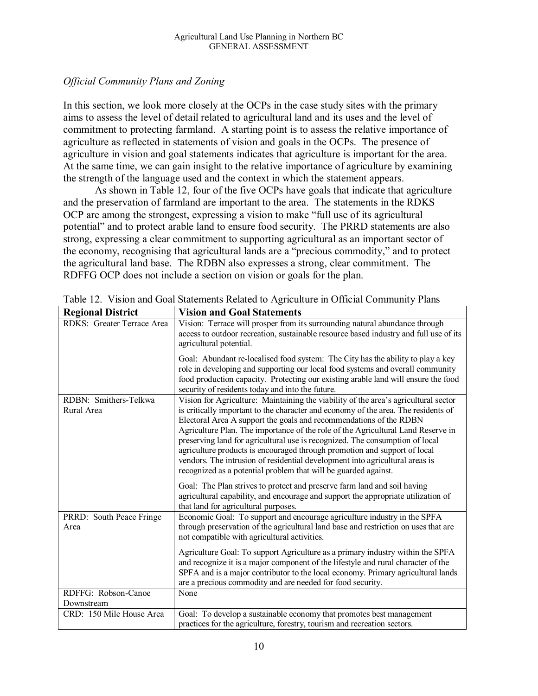#### *Official Community Plans and Zoning*

In this section, we look more closely at the OCPs in the case study sites with the primary aims to assess the level of detail related to agricultural land and its uses and the level of commitment to protecting farmland. A starting point is to assess the relative importance of agriculture as reflected in statements of vision and goals in the OCPs. The presence of agriculture in vision and goal statements indicates that agriculture is important for the area. At the same time, we can gain insight to the relative importance of agriculture by examining the strength of the language used and the context in which the statement appears.

As shown in Table 12, four of the five OCPs have goals that indicate that agriculture and the preservation of farmland are important to the area. The statements in the RDKS OCP are among the strongest, expressing a vision to make "full use of its agricultural potential" and to protect arable land to ensure food security. The PRRD statements are also strong, expressing a clear commitment to supporting agricultural as an important sector of the economy, recognising that agricultural lands are a "precious commodity," and to protect the agricultural land base. The RDBN also expresses a strong, clear commitment. The RDFFG OCP does not include a section on vision or goals for the plan.

| <b>Regional District</b>            | <b>Vision and Goal Statements</b>                                                                                                                                                                                                                                                                                                                                                                                                                                                                                                                                                                                                                   |
|-------------------------------------|-----------------------------------------------------------------------------------------------------------------------------------------------------------------------------------------------------------------------------------------------------------------------------------------------------------------------------------------------------------------------------------------------------------------------------------------------------------------------------------------------------------------------------------------------------------------------------------------------------------------------------------------------------|
| RDKS: Greater Terrace Area          | Vision: Terrace will prosper from its surrounding natural abundance through<br>access to outdoor recreation, sustainable resource based industry and full use of its<br>agricultural potential.                                                                                                                                                                                                                                                                                                                                                                                                                                                     |
|                                     | Goal: Abundant re-localised food system: The City has the ability to play a key<br>role in developing and supporting our local food systems and overall community<br>food production capacity. Protecting our existing arable land will ensure the food<br>security of residents today and into the future.                                                                                                                                                                                                                                                                                                                                         |
| RDBN: Smithers-Telkwa<br>Rural Area | Vision for Agriculture: Maintaining the viability of the area's agricultural sector<br>is critically important to the character and economy of the area. The residents of<br>Electoral Area A support the goals and recommendations of the RDBN<br>Agriculture Plan. The importance of the role of the Agricultural Land Reserve in<br>preserving land for agricultural use is recognized. The consumption of local<br>agriculture products is encouraged through promotion and support of local<br>vendors. The intrusion of residential development into agricultural areas is<br>recognized as a potential problem that will be guarded against. |
|                                     | Goal: The Plan strives to protect and preserve farm land and soil having<br>agricultural capability, and encourage and support the appropriate utilization of<br>that land for agricultural purposes.                                                                                                                                                                                                                                                                                                                                                                                                                                               |
| PRRD: South Peace Fringe<br>Area    | Economic Goal: To support and encourage agriculture industry in the SPFA<br>through preservation of the agricultural land base and restriction on uses that are<br>not compatible with agricultural activities.                                                                                                                                                                                                                                                                                                                                                                                                                                     |
|                                     | Agriculture Goal: To support Agriculture as a primary industry within the SPFA<br>and recognize it is a major component of the lifestyle and rural character of the<br>SPFA and is a major contributor to the local economy. Primary agricultural lands<br>are a precious commodity and are needed for food security.                                                                                                                                                                                                                                                                                                                               |
| RDFFG: Robson-Canoe<br>Downstream   | None                                                                                                                                                                                                                                                                                                                                                                                                                                                                                                                                                                                                                                                |
| CRD: 150 Mile House Area            | Goal: To develop a sustainable economy that promotes best management                                                                                                                                                                                                                                                                                                                                                                                                                                                                                                                                                                                |
|                                     | practices for the agriculture, forestry, tourism and recreation sectors.                                                                                                                                                                                                                                                                                                                                                                                                                                                                                                                                                                            |

Table 12. Vision and Goal Statements Related to Agriculture in Official Community Plans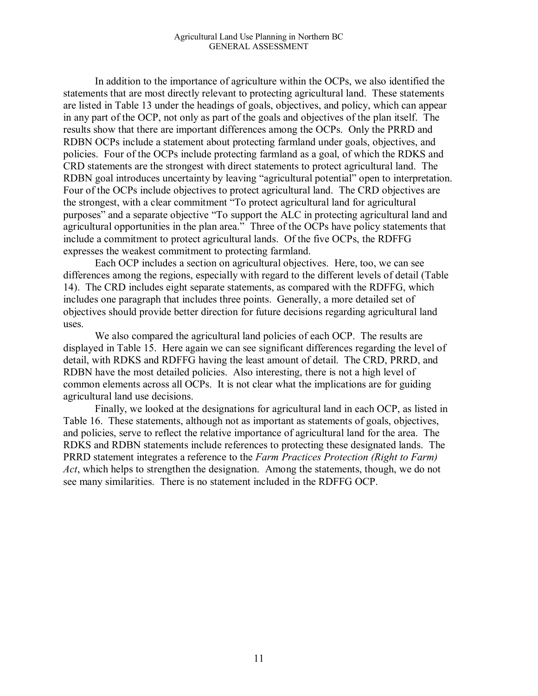In addition to the importance of agriculture within the OCPs, we also identified the statements that are most directly relevant to protecting agricultural land. These statements are listed in Table 13 under the headings of goals, objectives, and policy, which can appear in any part of the OCP, not only as part of the goals and objectives of the plan itself. The results show that there are important differences among the OCPs. Only the PRRD and RDBN OCPs include a statement about protecting farmland under goals, objectives, and policies. Four of the OCPs include protecting farmland as a goal, of which the RDKS and CRD statements are the strongest with direct statements to protect agricultural land. The RDBN goal introduces uncertainty by leaving "agricultural potential" open to interpretation. Four of the OCPs include objectives to protect agricultural land. The CRD objectives are the strongest, with a clear commitment "To protect agricultural land for agricultural purposes" and a separate objective "To support the ALC in protecting agricultural land and agricultural opportunities in the plan area." Three of the OCPs have policy statements that include a commitment to protect agricultural lands. Of the five OCPs, the RDFFG expresses the weakest commitment to protecting farmland.

Each OCP includes a section on agricultural objectives. Here, too, we can see differences among the regions, especially with regard to the different levels of detail (Table 14). The CRD includes eight separate statements, as compared with the RDFFG, which includes one paragraph that includes three points. Generally, a more detailed set of objectives should provide better direction for future decisions regarding agricultural land uses.

We also compared the agricultural land policies of each OCP. The results are displayed in Table 15. Here again we can see significant differences regarding the level of detail, with RDKS and RDFFG having the least amount of detail. The CRD, PRRD, and RDBN have the most detailed policies. Also interesting, there is not a high level of common elements across all OCPs. It is not clear what the implications are for guiding agricultural land use decisions.

Finally, we looked at the designations for agricultural land in each OCP, as listed in Table 16. These statements, although not as important as statements of goals, objectives, and policies, serve to reflect the relative importance of agricultural land for the area. The RDKS and RDBN statements include references to protecting these designated lands. The PRRD statement integrates a reference to the *Farm Practices Protection (Right to Farm) Act*, which helps to strengthen the designation. Among the statements, though, we do not see many similarities. There is no statement included in the RDFFG OCP.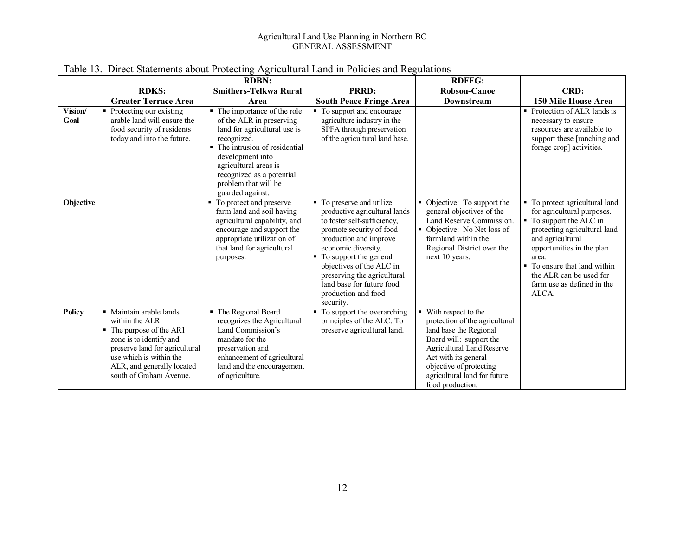#### Agricultural Land Use Planning in Northern BC GENERAL ASSESSMENT

|                 |                                                                                                                                                                                                                                      | <b>RDBN:</b>                                                                                                                                                                                                                                                    |                                                                                                                                                                                                                                                                                                                                    | <b>RDFFG:</b>                                                                                                                                                                                                                                         |                                                                                                                                                                                                                                                                                   |
|-----------------|--------------------------------------------------------------------------------------------------------------------------------------------------------------------------------------------------------------------------------------|-----------------------------------------------------------------------------------------------------------------------------------------------------------------------------------------------------------------------------------------------------------------|------------------------------------------------------------------------------------------------------------------------------------------------------------------------------------------------------------------------------------------------------------------------------------------------------------------------------------|-------------------------------------------------------------------------------------------------------------------------------------------------------------------------------------------------------------------------------------------------------|-----------------------------------------------------------------------------------------------------------------------------------------------------------------------------------------------------------------------------------------------------------------------------------|
|                 | <b>RDKS:</b>                                                                                                                                                                                                                         | <b>Smithers-Telkwa Rural</b>                                                                                                                                                                                                                                    | <b>PRRD:</b>                                                                                                                                                                                                                                                                                                                       | <b>Robson-Canoe</b>                                                                                                                                                                                                                                   | CRD:                                                                                                                                                                                                                                                                              |
|                 | <b>Greater Terrace Area</b>                                                                                                                                                                                                          | Area                                                                                                                                                                                                                                                            | <b>South Peace Fringe Area</b>                                                                                                                                                                                                                                                                                                     | Downstream                                                                                                                                                                                                                                            | 150 Mile House Area                                                                                                                                                                                                                                                               |
| Vision/<br>Goal | • Protecting our existing<br>arable land will ensure the<br>food security of residents<br>today and into the future.                                                                                                                 | • The importance of the role<br>of the ALR in preserving<br>land for agricultural use is<br>recognized.<br>• The intrusion of residential<br>development into<br>agricultural areas is<br>recognized as a potential<br>problem that will be<br>guarded against. | To support and encourage<br>٠<br>agriculture industry in the<br>SPFA through preservation<br>of the agricultural land base.                                                                                                                                                                                                        |                                                                                                                                                                                                                                                       | • Protection of ALR lands is<br>necessary to ensure<br>resources are available to<br>support these [ranching and<br>forage crop] activities.                                                                                                                                      |
| Objective       |                                                                                                                                                                                                                                      | • To protect and preserve<br>farm land and soil having<br>agricultural capability, and<br>encourage and support the<br>appropriate utilization of<br>that land for agricultural<br>purposes.                                                                    | • To preserve and utilize<br>productive agricultural lands<br>to foster self-sufficiency,<br>promote security of food<br>production and improve<br>economic diversity.<br>To support the general<br>٠.<br>objectives of the ALC in<br>preserving the agricultural<br>land base for future food<br>production and food<br>security. | Objective: To support the<br>٠<br>general objectives of the<br>Land Reserve Commission.<br>Objective: No Net loss of<br>farmland within the<br>Regional District over the<br>next 10 years.                                                           | To protect agricultural land<br>for agricultural purposes.<br>• To support the ALC in<br>protecting agricultural land<br>and agricultural<br>opportunities in the plan<br>area.<br>• To ensure that land within<br>the ALR can be used for<br>farm use as defined in the<br>ALCA. |
| <b>Policy</b>   | • Maintain arable lands<br>within the ALR.<br>$\blacksquare$ The purpose of the AR1<br>zone is to identify and<br>preserve land for agricultural<br>use which is within the<br>ALR, and generally located<br>south of Graham Avenue. | • The Regional Board<br>recognizes the Agricultural<br>Land Commission's<br>mandate for the<br>preservation and<br>enhancement of agricultural<br>land and the encouragement<br>of agriculture.                                                                 | To support the overarching<br>principles of the ALC: To<br>preserve agricultural land.                                                                                                                                                                                                                                             | With respect to the<br>protection of the agricultural<br>land base the Regional<br>Board will: support the<br><b>Agricultural Land Reserve</b><br>Act with its general<br>objective of protecting<br>agricultural land for future<br>food production. |                                                                                                                                                                                                                                                                                   |

#### Table 13. Direct Statements about Protecting Agricultural Land in Policies and Regulations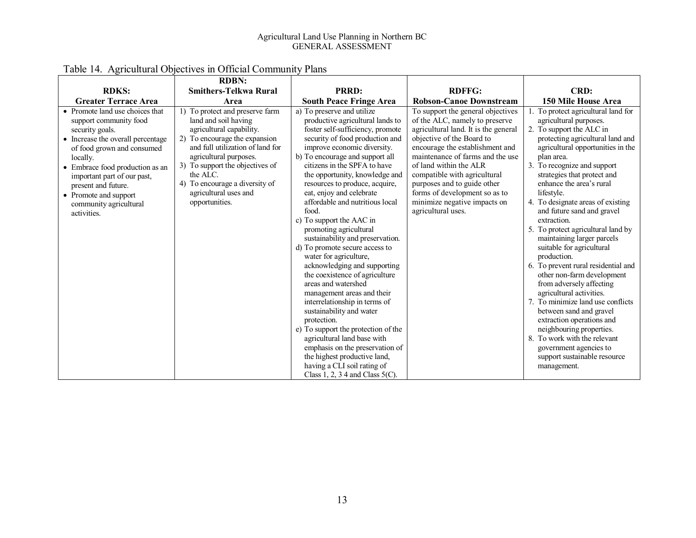#### Agricultural Land Use Planning in Northern BC GENERAL ASSESSMENT

|                                                                                                                                                                                                                                                                                                                        | <b>RDBN:</b>                                                                                                                                                                                                                                                                                                   |                                                                                                                                                                                                                                                                                                                                                                                                                                                                                                                                                                                                                                                                                                                                                                                                                                                                                                                                                            |                                                                                                                                                                                                                                                                                                                                                                                                 |                                                                                                                                                                                                                                                                                                                                                                                                                                                                                                                                                                                                                                                                                                                                                                                                                                                           |
|------------------------------------------------------------------------------------------------------------------------------------------------------------------------------------------------------------------------------------------------------------------------------------------------------------------------|----------------------------------------------------------------------------------------------------------------------------------------------------------------------------------------------------------------------------------------------------------------------------------------------------------------|------------------------------------------------------------------------------------------------------------------------------------------------------------------------------------------------------------------------------------------------------------------------------------------------------------------------------------------------------------------------------------------------------------------------------------------------------------------------------------------------------------------------------------------------------------------------------------------------------------------------------------------------------------------------------------------------------------------------------------------------------------------------------------------------------------------------------------------------------------------------------------------------------------------------------------------------------------|-------------------------------------------------------------------------------------------------------------------------------------------------------------------------------------------------------------------------------------------------------------------------------------------------------------------------------------------------------------------------------------------------|-----------------------------------------------------------------------------------------------------------------------------------------------------------------------------------------------------------------------------------------------------------------------------------------------------------------------------------------------------------------------------------------------------------------------------------------------------------------------------------------------------------------------------------------------------------------------------------------------------------------------------------------------------------------------------------------------------------------------------------------------------------------------------------------------------------------------------------------------------------|
| <b>RDKS:</b>                                                                                                                                                                                                                                                                                                           | <b>Smithers-Telkwa Rural</b>                                                                                                                                                                                                                                                                                   | PRRD:                                                                                                                                                                                                                                                                                                                                                                                                                                                                                                                                                                                                                                                                                                                                                                                                                                                                                                                                                      | <b>RDFFG:</b>                                                                                                                                                                                                                                                                                                                                                                                   | CRD:                                                                                                                                                                                                                                                                                                                                                                                                                                                                                                                                                                                                                                                                                                                                                                                                                                                      |
| <b>Greater Terrace Area</b>                                                                                                                                                                                                                                                                                            | Area                                                                                                                                                                                                                                                                                                           | <b>South Peace Fringe Area</b>                                                                                                                                                                                                                                                                                                                                                                                                                                                                                                                                                                                                                                                                                                                                                                                                                                                                                                                             | <b>Robson-Canoe Downstream</b>                                                                                                                                                                                                                                                                                                                                                                  | 150 Mile House Area                                                                                                                                                                                                                                                                                                                                                                                                                                                                                                                                                                                                                                                                                                                                                                                                                                       |
| • Promote land use choices that<br>support community food<br>security goals.<br>• Increase the overall percentage<br>of food grown and consumed<br>locally.<br>• Embrace food production as an<br>important part of our past,<br>present and future.<br>• Promote and support<br>community agricultural<br>activities. | 1) To protect and preserve farm<br>land and soil having<br>agricultural capability.<br>2) To encourage the expansion<br>and full utilization of land for<br>agricultural purposes.<br>3) To support the objectives of<br>the ALC.<br>4) To encourage a diversity of<br>agricultural uses and<br>opportunities. | a) To preserve and utilize<br>productive agricultural lands to<br>foster self-sufficiency, promote<br>security of food production and<br>improve economic diversity.<br>b) To encourage and support all<br>citizens in the SPFA to have<br>the opportunity, knowledge and<br>resources to produce, acquire,<br>eat, enjoy and celebrate<br>affordable and nutritious local<br>food.<br>c) To support the AAC in<br>promoting agricultural<br>sustainability and preservation.<br>d) To promote secure access to<br>water for agriculture,<br>acknowledging and supporting<br>the coexistence of agriculture<br>areas and watershed<br>management areas and their<br>interrelationship in terms of<br>sustainability and water<br>protection.<br>e) To support the protection of the<br>agricultural land base with<br>emphasis on the preservation of<br>the highest productive land,<br>having a CLI soil rating of<br>Class 1, 2, 3 4 and Class $5(C)$ . | To support the general objectives<br>of the ALC, namely to preserve<br>agricultural land. It is the general<br>objective of the Board to<br>encourage the establishment and<br>maintenance of farms and the use<br>of land within the ALR<br>compatible with agricultural<br>purposes and to guide other<br>forms of development so as to<br>minimize negative impacts on<br>agricultural uses. | 1. To protect agricultural land for<br>agricultural purposes.<br>2. To support the ALC in<br>protecting agricultural land and<br>agricultural opportunities in the<br>plan area.<br>3. To recognize and support<br>strategies that protect and<br>enhance the area's rural<br>lifestyle.<br>4. To designate areas of existing<br>and future sand and gravel<br>extraction.<br>5. To protect agricultural land by<br>maintaining larger parcels<br>suitable for agricultural<br>production.<br>6. To prevent rural residential and<br>other non-farm development<br>from adversely affecting<br>agricultural activities.<br>7. To minimize land use conflicts<br>between sand and gravel<br>extraction operations and<br>neighbouring properties.<br>8. To work with the relevant<br>government agencies to<br>support sustainable resource<br>management. |

# Table 14. Agricultural Objectives in Official Community Plans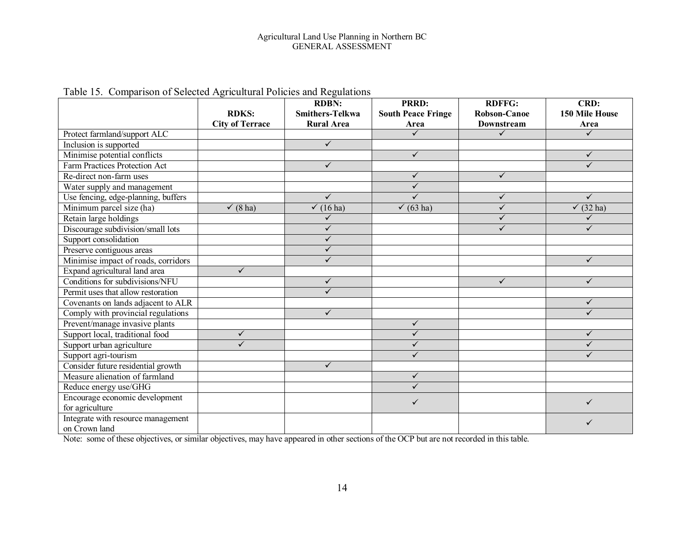|                                      |                        | <b>RDBN:</b>           | <b>PRRD:</b>              | <b>RDFFG:</b>       | CRD:            |
|--------------------------------------|------------------------|------------------------|---------------------------|---------------------|-----------------|
|                                      | <b>RDKS:</b>           | <b>Smithers-Telkwa</b> | <b>South Peace Fringe</b> | <b>Robson-Canoe</b> | 150 Mile House  |
|                                      | <b>City of Terrace</b> | <b>Rural Area</b>      | Area                      | <b>Downstream</b>   | Area            |
| Protect farmland/support ALC         |                        |                        | $\checkmark$              | $\checkmark$        | $\checkmark$    |
| Inclusion is supported               |                        | $\checkmark$           |                           |                     |                 |
| Minimise potential conflicts         |                        |                        | $\sqrt{}$                 |                     | $\checkmark$    |
| <b>Farm Practices Protection Act</b> |                        | $\checkmark$           |                           |                     | ✓               |
| Re-direct non-farm uses              |                        |                        | ✓                         | $\checkmark$        |                 |
| Water supply and management          |                        |                        | $\checkmark$              |                     |                 |
| Use fencing, edge-planning, buffers  |                        | $\checkmark$           | ✓                         | $\checkmark$        | $\checkmark$    |
| Minimum parcel size (ha)             | $\checkmark$ (8 ha)    | $\checkmark$ (16 ha)   | $\checkmark$ (63 ha)      | $\checkmark$        | $(32)$ ha)<br>✓ |
| Retain large holdings                |                        | ✓                      |                           | ✓                   | ✓               |
| Discourage subdivision/small lots    |                        | ✓                      |                           | ✓                   | ✓               |
| Support consolidation                |                        | ✓                      |                           |                     |                 |
| Preserve contiguous areas            |                        | $\checkmark$           |                           |                     |                 |
| Minimise impact of roads, corridors  |                        | $\checkmark$           |                           |                     | ✓               |
| Expand agricultural land area        | $\checkmark$           |                        |                           |                     |                 |
| Conditions for subdivisions/NFU      |                        | $\checkmark$           |                           | $\checkmark$        | $\checkmark$    |
| Permit uses that allow restoration   |                        |                        |                           |                     |                 |
| Covenants on lands adjacent to ALR   |                        |                        |                           |                     | ✓               |
| Comply with provincial regulations   |                        | $\checkmark$           |                           |                     | $\checkmark$    |
| Prevent/manage invasive plants       |                        |                        | $\checkmark$              |                     |                 |
| Support local, traditional food      | $\checkmark$           |                        | ✓                         |                     | $\checkmark$    |
| Support urban agriculture            | ✓                      |                        | $\checkmark$              |                     | ✓               |
| Support agri-tourism                 |                        |                        | ✓                         |                     | ✓               |
| Consider future residential growth   |                        | $\checkmark$           |                           |                     |                 |
| Measure alienation of farmland       |                        |                        | $\checkmark$              |                     |                 |
| Reduce energy use/GHG                |                        |                        | ✓                         |                     |                 |
| Encourage economic development       |                        |                        | ✓                         |                     | ✓               |
| for agriculture                      |                        |                        |                           |                     |                 |
| Integrate with resource management   |                        |                        |                           |                     | ✓               |
| on Crown land                        |                        |                        |                           |                     |                 |

#### Table 15. Comparison of Selected Agricultural Policies and Regulations

Note: some of these objectives, or similar objectives, may have appeared in other sections of the OCP but are not recorded in this table.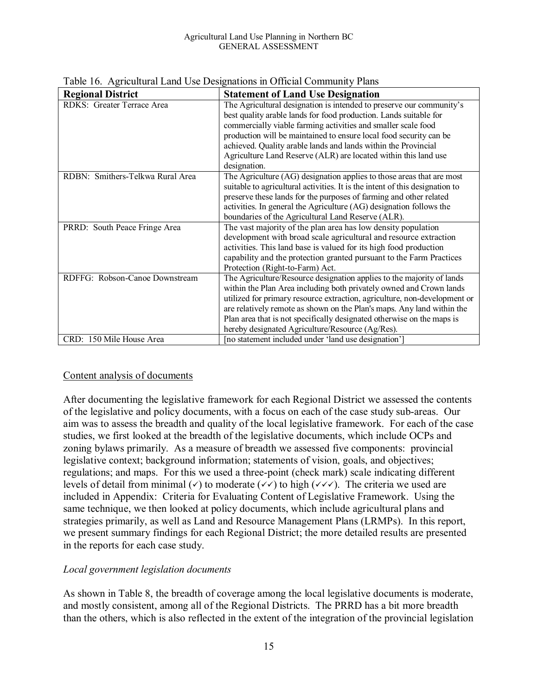| <b>Regional District</b>         | <b>Statement of Land Use Designation</b>                                     |
|----------------------------------|------------------------------------------------------------------------------|
| RDKS: Greater Terrace Area       |                                                                              |
|                                  | The Agricultural designation is intended to preserve our community's         |
|                                  | best quality arable lands for food production. Lands suitable for            |
|                                  | commercially viable farming activities and smaller scale food                |
|                                  | production will be maintained to ensure local food security can be           |
|                                  | achieved. Quality arable lands and lands within the Provincial               |
|                                  | Agriculture Land Reserve (ALR) are located within this land use              |
|                                  | designation.                                                                 |
| RDBN: Smithers-Telkwa Rural Area | The Agriculture (AG) designation applies to those areas that are most        |
|                                  | suitable to agricultural activities. It is the intent of this designation to |
|                                  | preserve these lands for the purposes of farming and other related           |
|                                  | activities. In general the Agriculture (AG) designation follows the          |
|                                  | boundaries of the Agricultural Land Reserve (ALR).                           |
| PRRD: South Peace Fringe Area    | The vast majority of the plan area has low density population                |
|                                  | development with broad scale agricultural and resource extraction            |
|                                  | activities. This land base is valued for its high food production            |
|                                  | capability and the protection granted pursuant to the Farm Practices         |
|                                  | Protection (Right-to-Farm) Act.                                              |
| RDFFG: Robson-Canoe Downstream   | The Agriculture/Resource designation applies to the majority of lands        |
|                                  | within the Plan Area including both privately owned and Crown lands          |
|                                  | utilized for primary resource extraction, agriculture, non-development or    |
|                                  | are relatively remote as shown on the Plan's maps. Any land within the       |
|                                  | Plan area that is not specifically designated otherwise on the maps is       |
|                                  | hereby designated Agriculture/Resource (Ag/Res).                             |
| CRD: 150 Mile House Area         | [no statement included under 'land use designation']                         |

Table 16. Agricultural Land Use Designations in Official Community Plans

#### Content analysis of documents

After documenting the legislative framework for each Regional District we assessed the contents of the legislative and policy documents, with a focus on each of the case study sub-areas. Our aim was to assess the breadth and quality of the local legislative framework. For each of the case studies, we first looked at the breadth of the legislative documents, which include OCPs and zoning bylaws primarily. As a measure of breadth we assessed five components: provincial legislative context; background information; statements of vision, goals, and objectives; regulations; and maps. For this we used a three-point (check mark) scale indicating different levels of detail from minimal ( $\checkmark$ ) to moderate ( $\checkmark\checkmark$ ) to high ( $\checkmark\checkmark\checkmark$ ). The criteria we used are included in Appendix: Criteria for Evaluating Content of Legislative Framework. Using the same technique, we then looked at policy documents, which include agricultural plans and strategies primarily, as well as Land and Resource Management Plans (LRMPs). In this report, we present summary findings for each Regional District; the more detailed results are presented in the reports for each case study.

#### *Local government legislation documents*

As shown in Table 8, the breadth of coverage among the local legislative documents is moderate, and mostly consistent, among all of the Regional Districts. The PRRD has a bit more breadth than the others, which is also reflected in the extent of the integration of the provincial legislation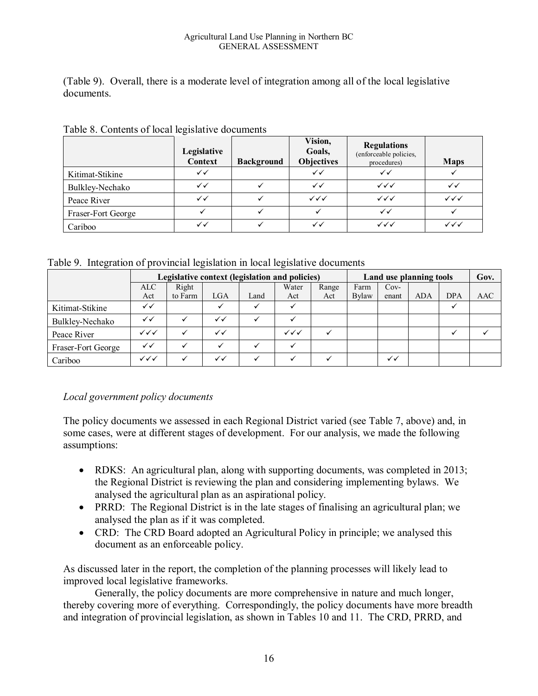#### Agricultural Land Use Planning in Northern BC GENERAL ASSESSMENT

(Table 9). Overall, there is a moderate level of integration among all of the local legislative documents.

|                    | $\tilde{\phantom{a}}$<br>Legislative<br><b>Context</b> | <b>Background</b> | Vision,<br>Goals,<br><b>Objectives</b> | <b>Regulations</b><br>(enforceable policies,<br>procedures) | <b>Maps</b>            |
|--------------------|--------------------------------------------------------|-------------------|----------------------------------------|-------------------------------------------------------------|------------------------|
| Kitimat-Stikine    | ✓✓                                                     |                   | $\checkmark$                           | ✓✓                                                          |                        |
| Bulkley-Nechako    | $\checkmark$                                           |                   | $\checkmark$                           | $\checkmark\checkmark$                                      | ✓✓                     |
| Peace River        | $\checkmark$                                           |                   | $\checkmark\checkmark$                 | $\checkmark\checkmark$                                      | $\checkmark\checkmark$ |
| Fraser-Fort George |                                                        |                   |                                        | ✓✓                                                          |                        |
| Cariboo            | ✓✓                                                     |                   | ✓✓                                     | $\checkmark\checkmark$                                      | $\checkmark\checkmark$ |

Table 8. Contents of local legislative documents

Table 9. Integration of provincial legislation in local legislative documents

|                    | Legislative context (legislation and policies) |         |              |      |                        | Land use planning tools |       |              | Gov.       |            |     |
|--------------------|------------------------------------------------|---------|--------------|------|------------------------|-------------------------|-------|--------------|------------|------------|-----|
|                    | <b>ALC</b>                                     | Right   |              |      | Water                  | Range                   | Farm  | $Cov-$       |            |            |     |
|                    | Act                                            | to Farm | LGA          | Land | Act                    | Act                     | Bylaw | enant        | <b>ADA</b> | <b>DPA</b> | AAC |
| Kitimat-Stikine    | ✓✓                                             |         |              |      |                        |                         |       |              |            |            |     |
| Bulkley-Nechako    | ✓✓                                             |         | $\checkmark$ |      |                        |                         |       |              |            |            |     |
| Peace River        | $\checkmark\checkmark$                         |         | ✓✓           |      | $\checkmark\checkmark$ |                         |       |              |            |            |     |
| Fraser-Fort George | ✓✓                                             |         |              |      |                        |                         |       |              |            |            |     |
| Cariboo            | $\checkmark\checkmark$                         | v       | ✓✓           |      |                        |                         |       | $\checkmark$ |            |            |     |

### *Local government policy documents*

The policy documents we assessed in each Regional District varied (see Table 7, above) and, in some cases, were at different stages of development. For our analysis, we made the following assumptions:

- RDKS: An agricultural plan, along with supporting documents, was completed in 2013; the Regional District is reviewing the plan and considering implementing bylaws. We analysed the agricultural plan as an aspirational policy.
- PRRD: The Regional District is in the late stages of finalising an agricultural plan; we analysed the plan as if it was completed.
- CRD: The CRD Board adopted an Agricultural Policy in principle; we analysed this document as an enforceable policy.

As discussed later in the report, the completion of the planning processes will likely lead to improved local legislative frameworks.

Generally, the policy documents are more comprehensive in nature and much longer, thereby covering more of everything. Correspondingly, the policy documents have more breadth and integration of provincial legislation, as shown in Tables 10 and 11. The CRD, PRRD, and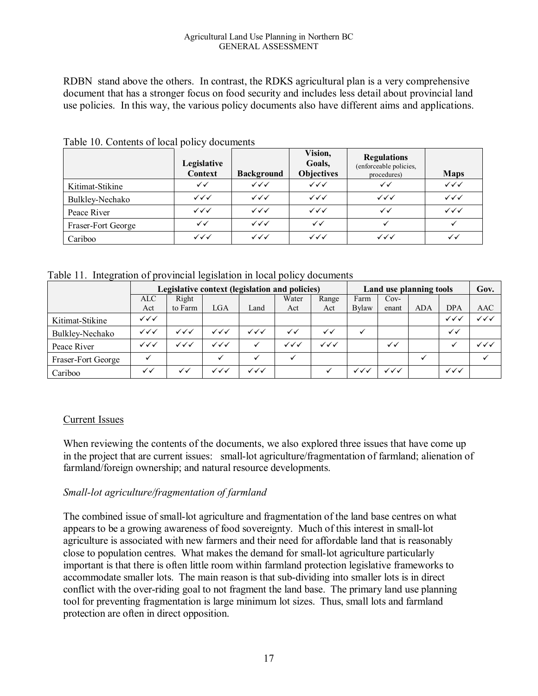#### Agricultural Land Use Planning in Northern BC GENERAL ASSESSMENT

RDBN stand above the others. In contrast, the RDKS agricultural plan is a very comprehensive document that has a stronger focus on food security and includes less detail about provincial land use policies. In this way, the various policy documents also have different aims and applications.

|                    | Legislative<br><b>Context</b> | <b>Background</b>      | Vision,<br>Goals,<br><b>Objectives</b> | <b>Regulations</b><br>(enforceable policies,<br>procedures) | <b>Maps</b>            |
|--------------------|-------------------------------|------------------------|----------------------------------------|-------------------------------------------------------------|------------------------|
| Kitimat-Stikine    | $\checkmark$                  | $\checkmark\checkmark$ | $\checkmark\checkmark$                 | $\checkmark$                                                | $\checkmark\checkmark$ |
| Bulkley-Nechako    | $\checkmark\checkmark$        | $\checkmark\checkmark$ | $\checkmark\checkmark$                 | $\checkmark\checkmark$                                      | $\checkmark\checkmark$ |
| Peace River        | $\checkmark\checkmark$        | $\checkmark\checkmark$ | $\checkmark\checkmark$                 | $\checkmark$                                                | $\checkmark\checkmark$ |
| Fraser-Fort George | ✓✓                            | $\checkmark\checkmark$ | $\checkmark$                           |                                                             |                        |
| Cariboo            | $\checkmark\checkmark$        | $\checkmark\checkmark$ | $\checkmark\checkmark$                 | $\checkmark\checkmark$                                      | ✓✓                     |

Table 10. Contents of local policy documents

Table 11. Integration of provincial legislation in local policy documents

|                    |                        | Legislative context (legislation and policies) |                        |                        |                        | Land use planning tools |                        |                        | Gov.       |                        |                        |
|--------------------|------------------------|------------------------------------------------|------------------------|------------------------|------------------------|-------------------------|------------------------|------------------------|------------|------------------------|------------------------|
|                    | <b>ALC</b>             | Right                                          |                        |                        | Water                  | Range                   | Farm                   | $Cov-$                 |            |                        |                        |
|                    | Act                    | to Farm                                        | LGA                    | Land                   | Act                    | Act                     | <b>Bylaw</b>           | enant                  | <b>ADA</b> | <b>DPA</b>             | AAC                    |
| Kitimat-Stikine    | $\checkmark\checkmark$ |                                                |                        |                        |                        |                         |                        |                        |            | ✓✓✓                    | $\checkmark\checkmark$ |
| Bulkley-Nechako    | $\checkmark\checkmark$ | $\checkmark\checkmark$                         | $\checkmark\checkmark$ | $\checkmark\checkmark$ | ✓✓                     | $\checkmark$            |                        |                        |            | ✓✓                     |                        |
| Peace River        | $\checkmark\checkmark$ | $\checkmark\checkmark$                         | $\checkmark\checkmark$ | ✓                      | $\checkmark\checkmark$ | $\checkmark$            |                        | ✓✓                     |            |                        | $\checkmark\checkmark$ |
| Fraser-Fort George |                        |                                                |                        |                        |                        |                         |                        |                        |            |                        |                        |
| Cariboo            | ✓✓                     | ✓✓                                             | $\checkmark\checkmark$ | $\checkmark\checkmark$ |                        |                         | $\checkmark\checkmark$ | $\checkmark\checkmark$ |            | $\checkmark\checkmark$ |                        |

### Current Issues

When reviewing the contents of the documents, we also explored three issues that have come up in the project that are current issues: small-lot agriculture/fragmentation of farmland; alienation of farmland/foreign ownership; and natural resource developments.

### *Small-lot agriculture/fragmentation of farmland*

The combined issue of small-lot agriculture and fragmentation of the land base centres on what appears to be a growing awareness of food sovereignty. Much of this interest in small-lot agriculture is associated with new farmers and their need for affordable land that is reasonably close to population centres. What makes the demand for small-lot agriculture particularly important is that there is often little room within farmland protection legislative frameworks to accommodate smaller lots. The main reason is that sub-dividing into smaller lots is in direct conflict with the over-riding goal to not fragment the land base. The primary land use planning tool for preventing fragmentation is large minimum lot sizes. Thus, small lots and farmland protection are often in direct opposition.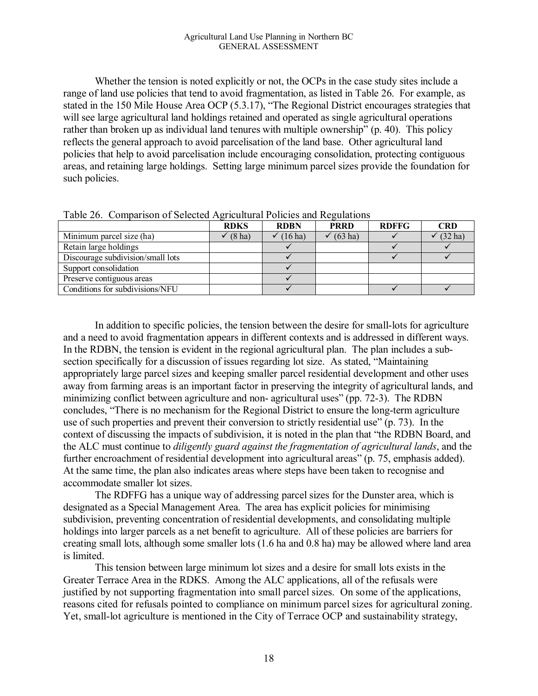Whether the tension is noted explicitly or not, the OCPs in the case study sites include a range of land use policies that tend to avoid fragmentation, as listed in Table 26. For example, as stated in the 150 Mile House Area OCP (5.3.17), "The Regional District encourages strategies that will see large agricultural land holdings retained and operated as single agricultural operations rather than broken up as individual land tenures with multiple ownership" (p. 40). This policy reflects the general approach to avoid parcelisation of the land base. Other agricultural land policies that help to avoid parcelisation include encouraging consolidation, protecting contiguous areas, and retaining large holdings. Setting large minimum parcel sizes provide the foundation for such policies.

| $ \cdots$ $ \cdots$ $ \cdots$ $\cdots$ $\cdots$ $\cdots$ $\cdots$ $\cdots$ $\cdots$ $\cdots$ $\cdots$ |             |             |             |              |            |  |  |  |  |
|-------------------------------------------------------------------------------------------------------|-------------|-------------|-------------|--------------|------------|--|--|--|--|
|                                                                                                       | <b>RDKS</b> | <b>RDBN</b> | <b>PRRD</b> | <b>RDFFG</b> | <b>CRD</b> |  |  |  |  |
| Minimum parcel size (ha)                                                                              | $(8$ ha)    | $(16$ ha)   | $(63$ ha)   |              | $(32)$ ha) |  |  |  |  |
| Retain large holdings                                                                                 |             |             |             |              |            |  |  |  |  |
| Discourage subdivision/small lots                                                                     |             |             |             |              |            |  |  |  |  |
| Support consolidation                                                                                 |             |             |             |              |            |  |  |  |  |
| Preserve contiguous areas                                                                             |             |             |             |              |            |  |  |  |  |
| Conditions for subdivisions/NFU                                                                       |             |             |             |              |            |  |  |  |  |

Table 26. Comparison of Selected Agricultural Policies and Regulations

In addition to specific policies, the tension between the desire for small-lots for agriculture and a need to avoid fragmentation appears in different contexts and is addressed in different ways. In the RDBN, the tension is evident in the regional agricultural plan. The plan includes a subsection specifically for a discussion of issues regarding lot size. As stated, "Maintaining appropriately large parcel sizes and keeping smaller parcel residential development and other uses away from farming areas is an important factor in preserving the integrity of agricultural lands, and minimizing conflict between agriculture and non- agricultural uses" (pp. 72-3). The RDBN concludes, "There is no mechanism for the Regional District to ensure the long-term agriculture use of such properties and prevent their conversion to strictly residential use" (p. 73). In the context of discussing the impacts of subdivision, it is noted in the plan that "the RDBN Board, and the ALC must continue to *diligently guard against the fragmentation of agricultural lands*, and the further encroachment of residential development into agricultural areas" (p. 75, emphasis added). At the same time, the plan also indicates areas where steps have been taken to recognise and accommodate smaller lot sizes.

The RDFFG has a unique way of addressing parcel sizes for the Dunster area, which is designated as a Special Management Area. The area has explicit policies for minimising subdivision, preventing concentration of residential developments, and consolidating multiple holdings into larger parcels as a net benefit to agriculture. All of these policies are barriers for creating small lots, although some smaller lots (1.6 ha and 0.8 ha) may be allowed where land area is limited.

This tension between large minimum lot sizes and a desire for small lots exists in the Greater Terrace Area in the RDKS. Among the ALC applications, all of the refusals were justified by not supporting fragmentation into small parcel sizes. On some of the applications, reasons cited for refusals pointed to compliance on minimum parcel sizes for agricultural zoning. Yet, small-lot agriculture is mentioned in the City of Terrace OCP and sustainability strategy,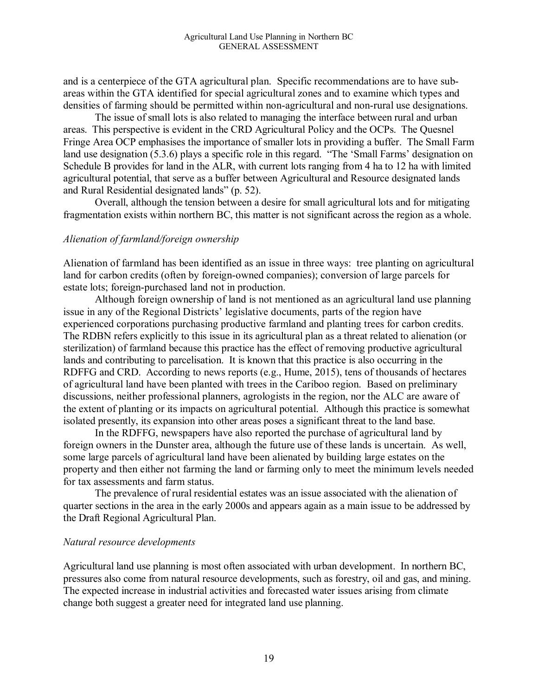and is a centerpiece of the GTA agricultural plan. Specific recommendations are to have subareas within the GTA identified for special agricultural zones and to examine which types and densities of farming should be permitted within non-agricultural and non-rural use designations.

The issue of small lots is also related to managing the interface between rural and urban areas. This perspective is evident in the CRD Agricultural Policy and the OCPs. The Quesnel Fringe Area OCP emphasises the importance of smaller lots in providing a buffer. The Small Farm land use designation (5.3.6) plays a specific role in this regard. "The 'Small Farms' designation on Schedule B provides for land in the ALR, with current lots ranging from 4 ha to 12 ha with limited agricultural potential, that serve as a buffer between Agricultural and Resource designated lands and Rural Residential designated lands" (p. 52).

Overall, although the tension between a desire for small agricultural lots and for mitigating fragmentation exists within northern BC, this matter is not significant across the region as a whole.

#### *Alienation of farmland/foreign ownership*

Alienation of farmland has been identified as an issue in three ways: tree planting on agricultural land for carbon credits (often by foreign-owned companies); conversion of large parcels for estate lots; foreign-purchased land not in production.

Although foreign ownership of land is not mentioned as an agricultural land use planning issue in any of the Regional Districts' legislative documents, parts of the region have experienced corporations purchasing productive farmland and planting trees for carbon credits. The RDBN refers explicitly to this issue in its agricultural plan as a threat related to alienation (or sterilization) of farmland because this practice has the effect of removing productive agricultural lands and contributing to parcelisation. It is known that this practice is also occurring in the RDFFG and CRD. According to news reports (e.g., Hume, 2015), tens of thousands of hectares of agricultural land have been planted with trees in the Cariboo region. Based on preliminary discussions, neither professional planners, agrologists in the region, nor the ALC are aware of the extent of planting or its impacts on agricultural potential. Although this practice is somewhat isolated presently, its expansion into other areas poses a significant threat to the land base.

In the RDFFG, newspapers have also reported the purchase of agricultural land by foreign owners in the Dunster area, although the future use of these lands is uncertain. As well, some large parcels of agricultural land have been alienated by building large estates on the property and then either not farming the land or farming only to meet the minimum levels needed for tax assessments and farm status.

The prevalence of rural residential estates was an issue associated with the alienation of quarter sections in the area in the early 2000s and appears again as a main issue to be addressed by the Draft Regional Agricultural Plan.

#### *Natural resource developments*

Agricultural land use planning is most often associated with urban development. In northern BC, pressures also come from natural resource developments, such as forestry, oil and gas, and mining. The expected increase in industrial activities and forecasted water issues arising from climate change both suggest a greater need for integrated land use planning.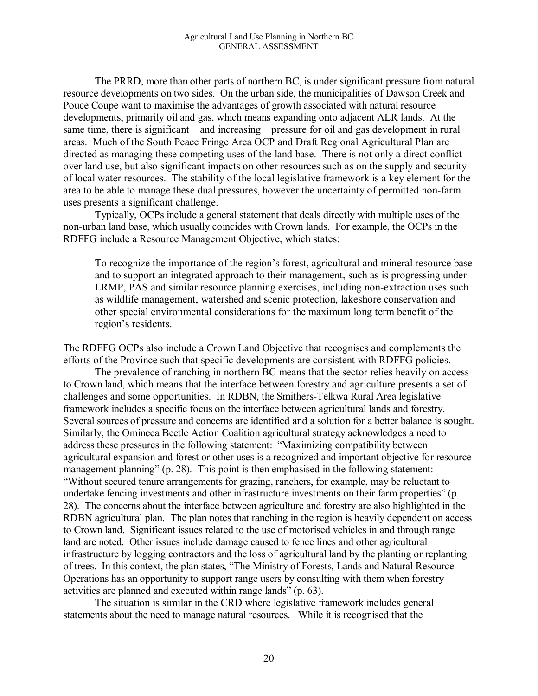The PRRD, more than other parts of northern BC, is under significant pressure from natural resource developments on two sides. On the urban side, the municipalities of Dawson Creek and Pouce Coupe want to maximise the advantages of growth associated with natural resource developments, primarily oil and gas, which means expanding onto adjacent ALR lands. At the same time, there is significant – and increasing – pressure for oil and gas development in rural areas. Much of the South Peace Fringe Area OCP and Draft Regional Agricultural Plan are directed as managing these competing uses of the land base. There is not only a direct conflict over land use, but also significant impacts on other resources such as on the supply and security of local water resources. The stability of the local legislative framework is a key element for the area to be able to manage these dual pressures, however the uncertainty of permitted non-farm uses presents a significant challenge.

Typically, OCPs include a general statement that deals directly with multiple uses of the non-urban land base, which usually coincides with Crown lands. For example, the OCPs in the RDFFG include a Resource Management Objective, which states:

To recognize the importance of the region's forest, agricultural and mineral resource base and to support an integrated approach to their management, such as is progressing under LRMP, PAS and similar resource planning exercises, including non-extraction uses such as wildlife management, watershed and scenic protection, lakeshore conservation and other special environmental considerations for the maximum long term benefit of the region's residents.

The RDFFG OCPs also include a Crown Land Objective that recognises and complements the efforts of the Province such that specific developments are consistent with RDFFG policies.

The prevalence of ranching in northern BC means that the sector relies heavily on access to Crown land, which means that the interface between forestry and agriculture presents a set of challenges and some opportunities. In RDBN, the Smithers-Telkwa Rural Area legislative framework includes a specific focus on the interface between agricultural lands and forestry. Several sources of pressure and concerns are identified and a solution for a better balance is sought. Similarly, the Omineca Beetle Action Coalition agricultural strategy acknowledges a need to address these pressures in the following statement: "Maximizing compatibility between agricultural expansion and forest or other uses is a recognized and important objective for resource management planning" (p. 28). This point is then emphasised in the following statement: "Without secured tenure arrangements for grazing, ranchers, for example, may be reluctant to undertake fencing investments and other infrastructure investments on their farm properties" (p. 28). The concerns about the interface between agriculture and forestry are also highlighted in the RDBN agricultural plan. The plan notes that ranching in the region is heavily dependent on access to Crown land. Significant issues related to the use of motorised vehicles in and through range land are noted. Other issues include damage caused to fence lines and other agricultural infrastructure by logging contractors and the loss of agricultural land by the planting or replanting of trees. In this context, the plan states, "The Ministry of Forests, Lands and Natural Resource Operations has an opportunity to support range users by consulting with them when forestry activities are planned and executed within range lands" (p. 63).

The situation is similar in the CRD where legislative framework includes general statements about the need to manage natural resources. While it is recognised that the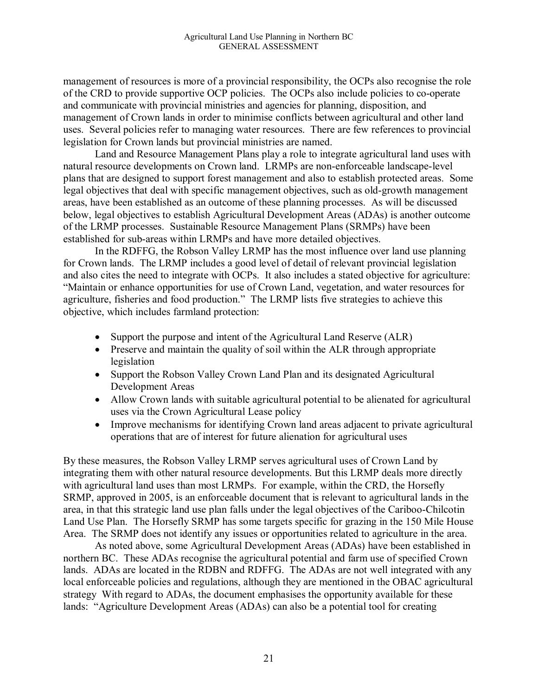management of resources is more of a provincial responsibility, the OCPs also recognise the role of the CRD to provide supportive OCP policies. The OCPs also include policies to co-operate and communicate with provincial ministries and agencies for planning, disposition, and management of Crown lands in order to minimise conflicts between agricultural and other land uses. Several policies refer to managing water resources. There are few references to provincial legislation for Crown lands but provincial ministries are named.

Land and Resource Management Plans play a role to integrate agricultural land uses with natural resource developments on Crown land. LRMPs are non-enforceable landscape-level plans that are designed to support forest management and also to establish protected areas. Some legal objectives that deal with specific management objectives, such as old-growth management areas, have been established as an outcome of these planning processes. As will be discussed below, legal objectives to establish Agricultural Development Areas (ADAs) is another outcome of the LRMP processes. Sustainable Resource Management Plans (SRMPs) have been established for sub-areas within LRMPs and have more detailed objectives.

In the RDFFG, the Robson Valley LRMP has the most influence over land use planning for Crown lands. The LRMP includes a good level of detail of relevant provincial legislation and also cites the need to integrate with OCPs. It also includes a stated objective for agriculture: "Maintain or enhance opportunities for use of Crown Land, vegetation, and water resources for agriculture, fisheries and food production." The LRMP lists five strategies to achieve this objective, which includes farmland protection:

- Support the purpose and intent of the Agricultural Land Reserve (ALR)
- Preserve and maintain the quality of soil within the ALR through appropriate legislation
- Support the Robson Valley Crown Land Plan and its designated Agricultural Development Areas
- Allow Crown lands with suitable agricultural potential to be alienated for agricultural uses via the Crown Agricultural Lease policy
- Improve mechanisms for identifying Crown land areas adjacent to private agricultural operations that are of interest for future alienation for agricultural uses

By these measures, the Robson Valley LRMP serves agricultural uses of Crown Land by integrating them with other natural resource developments. But this LRMP deals more directly with agricultural land uses than most LRMPs. For example, within the CRD, the Horsefly SRMP, approved in 2005, is an enforceable document that is relevant to agricultural lands in the area, in that this strategic land use plan falls under the legal objectives of the Cariboo-Chilcotin Land Use Plan. The Horsefly SRMP has some targets specific for grazing in the 150 Mile House Area. The SRMP does not identify any issues or opportunities related to agriculture in the area.

As noted above, some Agricultural Development Areas (ADAs) have been established in northern BC. These ADAs recognise the agricultural potential and farm use of specified Crown lands. ADAs are located in the RDBN and RDFFG. The ADAs are not well integrated with any local enforceable policies and regulations, although they are mentioned in the OBAC agricultural strategy With regard to ADAs, the document emphasises the opportunity available for these lands: "Agriculture Development Areas (ADAs) can also be a potential tool for creating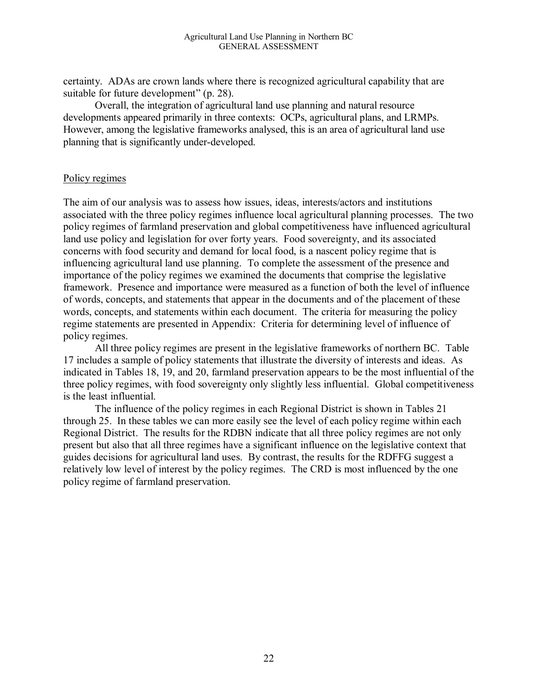certainty. ADAs are crown lands where there is recognized agricultural capability that are suitable for future development" (p. 28).

Overall, the integration of agricultural land use planning and natural resource developments appeared primarily in three contexts: OCPs, agricultural plans, and LRMPs. However, among the legislative frameworks analysed, this is an area of agricultural land use planning that is significantly under-developed.

#### Policy regimes

The aim of our analysis was to assess how issues, ideas, interests/actors and institutions associated with the three policy regimes influence local agricultural planning processes. The two policy regimes of farmland preservation and global competitiveness have influenced agricultural land use policy and legislation for over forty years. Food sovereignty, and its associated concerns with food security and demand for local food, is a nascent policy regime that is influencing agricultural land use planning. To complete the assessment of the presence and importance of the policy regimes we examined the documents that comprise the legislative framework. Presence and importance were measured as a function of both the level of influence of words, concepts, and statements that appear in the documents and of the placement of these words, concepts, and statements within each document. The criteria for measuring the policy regime statements are presented in Appendix: Criteria for determining level of influence of policy regimes.

All three policy regimes are present in the legislative frameworks of northern BC. Table 17 includes a sample of policy statements that illustrate the diversity of interests and ideas. As indicated in Tables 18, 19, and 20, farmland preservation appears to be the most influential of the three policy regimes, with food sovereignty only slightly less influential. Global competitiveness is the least influential.

The influence of the policy regimes in each Regional District is shown in Tables 21 through 25. In these tables we can more easily see the level of each policy regime within each Regional District. The results for the RDBN indicate that all three policy regimes are not only present but also that all three regimes have a significant influence on the legislative context that guides decisions for agricultural land uses. By contrast, the results for the RDFFG suggest a relatively low level of interest by the policy regimes. The CRD is most influenced by the one policy regime of farmland preservation.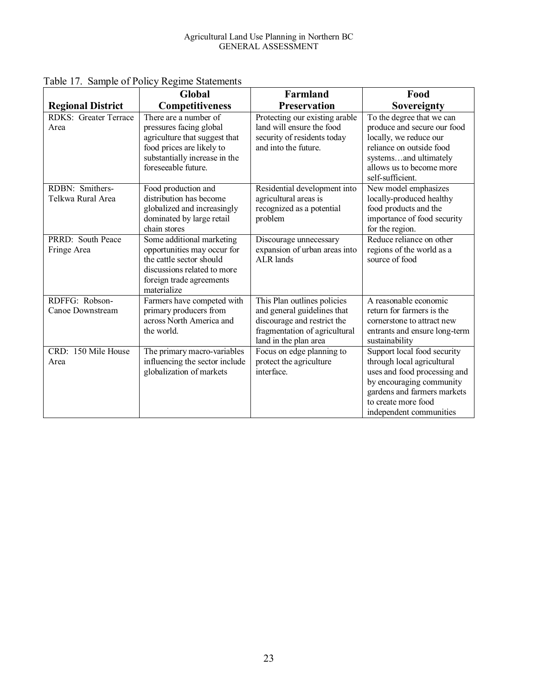|                                      | <b>Global</b>                                                                                                                                                          | Farmland                                                                                                                                            | Food                                                                                                                                                                                                   |
|--------------------------------------|------------------------------------------------------------------------------------------------------------------------------------------------------------------------|-----------------------------------------------------------------------------------------------------------------------------------------------------|--------------------------------------------------------------------------------------------------------------------------------------------------------------------------------------------------------|
| <b>Regional District</b>             | Competitiveness                                                                                                                                                        | <b>Preservation</b>                                                                                                                                 | Sovereignty                                                                                                                                                                                            |
| <b>RDKS: Greater Terrace</b><br>Area | There are a number of<br>pressures facing global<br>agriculture that suggest that<br>food prices are likely to<br>substantially increase in the<br>foreseeable future. | Protecting our existing arable<br>land will ensure the food<br>security of residents today<br>and into the future.                                  | To the degree that we can<br>produce and secure our food<br>locally, we reduce our<br>reliance on outside food<br>systemsand ultimately<br>allows us to become more<br>self-sufficient.                |
| RDBN: Smithers-<br>Telkwa Rural Area | Food production and<br>distribution has become<br>globalized and increasingly<br>dominated by large retail<br>chain stores                                             | Residential development into<br>agricultural areas is<br>recognized as a potential<br>problem                                                       | New model emphasizes<br>locally-produced healthy<br>food products and the<br>importance of food security<br>for the region.                                                                            |
| PRRD: South Peace<br>Fringe Area     | Some additional marketing<br>opportunities may occur for<br>the cattle sector should<br>discussions related to more<br>foreign trade agreements<br>materialize         | Discourage unnecessary<br>expansion of urban areas into<br><b>ALR</b> lands                                                                         | Reduce reliance on other<br>regions of the world as a<br>source of food                                                                                                                                |
| RDFFG: Robson-<br>Canoe Downstream   | Farmers have competed with<br>primary producers from<br>across North America and<br>the world.                                                                         | This Plan outlines policies<br>and general guidelines that<br>discourage and restrict the<br>fragmentation of agricultural<br>land in the plan area | A reasonable economic<br>return for farmers is the<br>cornerstone to attract new<br>entrants and ensure long-term<br>sustainability                                                                    |
| CRD: 150 Mile House<br>Area          | The primary macro-variables<br>influencing the sector include<br>globalization of markets                                                                              | Focus on edge planning to<br>protect the agriculture<br>interface.                                                                                  | Support local food security<br>through local agricultural<br>uses and food processing and<br>by encouraging community<br>gardens and farmers markets<br>to create more food<br>independent communities |

Table 17. Sample of Policy Regime Statements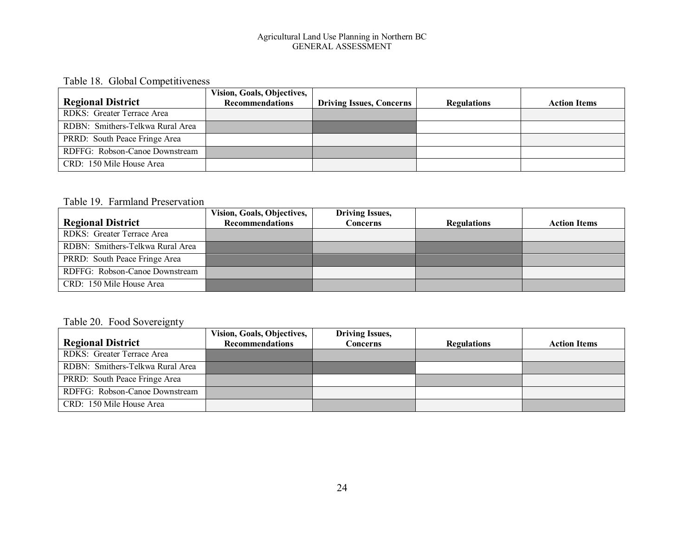#### Agricultural Land Use Planning in Northern BC GENERAL ASSESSMENT

#### Table 18. Global Competitiveness

|                                  | <b>Vision, Goals, Objectives,</b> |                                 |                    |                     |
|----------------------------------|-----------------------------------|---------------------------------|--------------------|---------------------|
| <b>Regional District</b>         | <b>Recommendations</b>            | <b>Driving Issues, Concerns</b> | <b>Regulations</b> | <b>Action Items</b> |
| RDKS: Greater Terrace Area       |                                   |                                 |                    |                     |
| RDBN: Smithers-Telkwa Rural Area |                                   |                                 |                    |                     |
| PRRD: South Peace Fringe Area    |                                   |                                 |                    |                     |
| RDFFG: Robson-Canoe Downstream   |                                   |                                 |                    |                     |
| CRD: 150 Mile House Area         |                                   |                                 |                    |                     |

#### Table 19. Farmland Preservation

|                                  | Vision, Goals, Objectives, | <b>Driving Issues,</b> |                    |                     |
|----------------------------------|----------------------------|------------------------|--------------------|---------------------|
| <b>Regional District</b>         | <b>Recommendations</b>     | Concerns               | <b>Regulations</b> | <b>Action Items</b> |
| RDKS: Greater Terrace Area       |                            |                        |                    |                     |
| RDBN: Smithers-Telkwa Rural Area |                            |                        |                    |                     |
| PRRD: South Peace Fringe Area    |                            |                        |                    |                     |
| RDFFG: Robson-Canoe Downstream   |                            |                        |                    |                     |
| CRD: 150 Mile House Area         |                            |                        |                    |                     |

#### Table 20. Food Sovereignty

|                                  | Vision, Goals, Objectives, | <b>Driving Issues,</b> |                    |                     |
|----------------------------------|----------------------------|------------------------|--------------------|---------------------|
| <b>Regional District</b>         | <b>Recommendations</b>     | <b>Concerns</b>        | <b>Regulations</b> | <b>Action Items</b> |
| RDKS: Greater Terrace Area       |                            |                        |                    |                     |
| RDBN: Smithers-Telkwa Rural Area |                            |                        |                    |                     |
| PRRD: South Peace Fringe Area    |                            |                        |                    |                     |
| RDFFG: Robson-Canoe Downstream   |                            |                        |                    |                     |
| CRD: 150 Mile House Area         |                            |                        |                    |                     |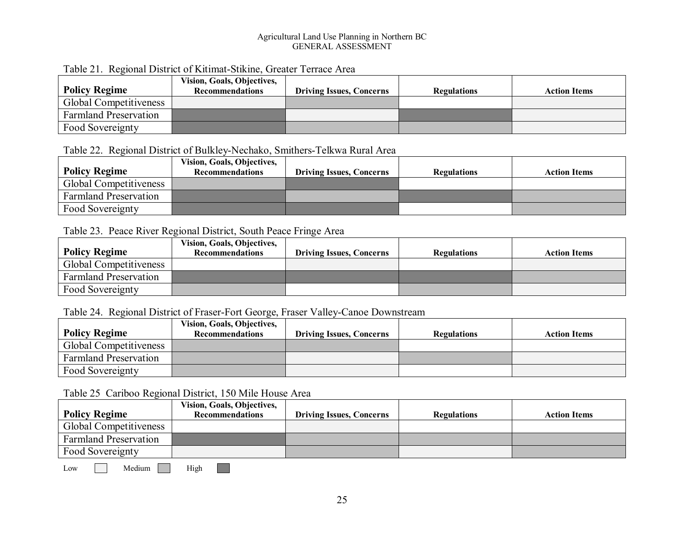#### Agricultural Land Use Planning in Northern BC GENERAL ASSESSMENT

| <b>Policy Regime</b>         | Vision, Goals, Objectives,<br><b>Recommendations</b> | <b>Driving Issues, Concerns</b> | <b>Regulations</b> | <b>Action Items</b> |  |  |
|------------------------------|------------------------------------------------------|---------------------------------|--------------------|---------------------|--|--|
| Global Competitiveness       |                                                      |                                 |                    |                     |  |  |
| <b>Farmland Preservation</b> |                                                      |                                 |                    |                     |  |  |
| Food Sovereignty             |                                                      |                                 |                    |                     |  |  |

#### Table 21. Regional District of Kitimat-Stikine, Greater Terrace Area

#### Table 22. Regional District of Bulkley-Nechako, Smithers-Telkwa Rural Area

| <b>Policy Regime</b>          | <b>Vision, Goals, Objectives,</b><br><b>Recommendations</b> | <b>Driving Issues, Concerns</b> | <b>Regulations</b> | <b>Action Items</b> |
|-------------------------------|-------------------------------------------------------------|---------------------------------|--------------------|---------------------|
| <b>Global Competitiveness</b> |                                                             |                                 |                    |                     |
| <b>Farmland Preservation</b>  |                                                             |                                 |                    |                     |
| Food Sovereignty              |                                                             |                                 |                    |                     |

#### Table 23. Peace River Regional District, South Peace Fringe Area

| <b>Policy Regime</b>         | Vision, Goals, Objectives,<br><b>Recommendations</b> | <b>Driving Issues, Concerns</b> | <b>Regulations</b> | <b>Action Items</b> |
|------------------------------|------------------------------------------------------|---------------------------------|--------------------|---------------------|
| Global Competitiveness       |                                                      |                                 |                    |                     |
| <b>Farmland Preservation</b> |                                                      |                                 |                    |                     |
| Food Sovereignty             |                                                      |                                 |                    |                     |

#### Table 24. Regional District of Fraser-Fort George, Fraser Valley-Canoe Downstream

|                               | Vision, Goals, Objectives, |                                 |                    |                     |
|-------------------------------|----------------------------|---------------------------------|--------------------|---------------------|
| Policy Regime                 | <b>Recommendations</b>     | <b>Driving Issues, Concerns</b> | <b>Regulations</b> | <b>Action Items</b> |
| <b>Global Competitiveness</b> |                            |                                 |                    |                     |
| <b>Farmland Preservation</b>  |                            |                                 |                    |                     |
| Food Sovereignty              |                            |                                 |                    |                     |

#### Table 25 Cariboo Regional District, 150 Mile House Area

| <b>Policy Regime</b>         | <b>Vision, Goals, Objectives,</b><br><b>Recommendations</b> | <b>Driving Issues, Concerns</b> | <b>Regulations</b> | <b>Action Items</b> |
|------------------------------|-------------------------------------------------------------|---------------------------------|--------------------|---------------------|
| Global Competitiveness       |                                                             |                                 |                    |                     |
| <b>Farmland Preservation</b> |                                                             |                                 |                    |                     |
| Food Sovereignty             |                                                             |                                 |                    |                     |

Low Medium High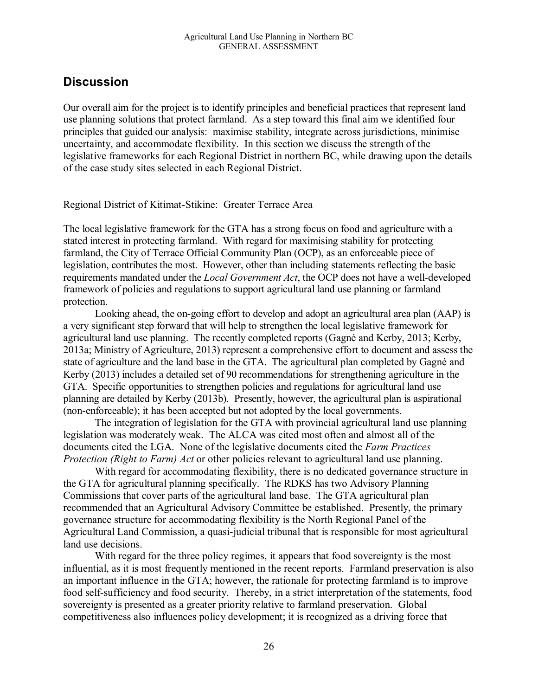### **Discussion**

Our overall aim for the project is to identify principles and beneficial practices that represent land use planning solutions that protect farmland. As a step toward this final aim we identified four principles that guided our analysis: maximise stability, integrate across jurisdictions, minimise uncertainty, and accommodate flexibility. In this section we discuss the strength of the legislative frameworks for each Regional District in northern BC, while drawing upon the details of the case study sites selected in each Regional District.

#### Regional District of Kitimat-Stikine: Greater Terrace Area

The local legislative framework for the GTA has a strong focus on food and agriculture with a stated interest in protecting farmland. With regard for maximising stability for protecting farmland, the City of Terrace Official Community Plan (OCP), as an enforceable piece of legislation, contributes the most. However, other than including statements reflecting the basic requirements mandated under the *Local Government Act*, the OCP does not have a well-developed framework of policies and regulations to support agricultural land use planning or farmland protection.

Looking ahead, the on-going effort to develop and adopt an agricultural area plan (AAP) is a very significant step forward that will help to strengthen the local legislative framework for agricultural land use planning. The recently completed reports (Gagné and Kerby, 2013; Kerby, 2013a; Ministry of Agriculture, 2013) represent a comprehensive effort to document and assess the state of agriculture and the land base in the GTA. The agricultural plan completed by Gagné and Kerby (2013) includes a detailed set of 90 recommendations for strengthening agriculture in the GTA. Specific opportunities to strengthen policies and regulations for agricultural land use planning are detailed by Kerby (2013b). Presently, however, the agricultural plan is aspirational (non-enforceable); it has been accepted but not adopted by the local governments.

The integration of legislation for the GTA with provincial agricultural land use planning legislation was moderately weak. The ALCA was cited most often and almost all of the documents cited the LGA. None of the legislative documents cited the *Farm Practices Protection (Right to Farm) Act* or other policies relevant to agricultural land use planning.

With regard for accommodating flexibility, there is no dedicated governance structure in the GTA for agricultural planning specifically. The RDKS has two Advisory Planning Commissions that cover parts of the agricultural land base. The GTA agricultural plan recommended that an Agricultural Advisory Committee be established. Presently, the primary governance structure for accommodating flexibility is the North Regional Panel of the Agricultural Land Commission, a quasi-judicial tribunal that is responsible for most agricultural land use decisions.

With regard for the three policy regimes, it appears that food sovereignty is the most influential, as it is most frequently mentioned in the recent reports. Farmland preservation is also an important influence in the GTA; however, the rationale for protecting farmland is to improve food self-sufficiency and food security. Thereby, in a strict interpretation of the statements, food sovereignty is presented as a greater priority relative to farmland preservation. Global competitiveness also influences policy development; it is recognized as a driving force that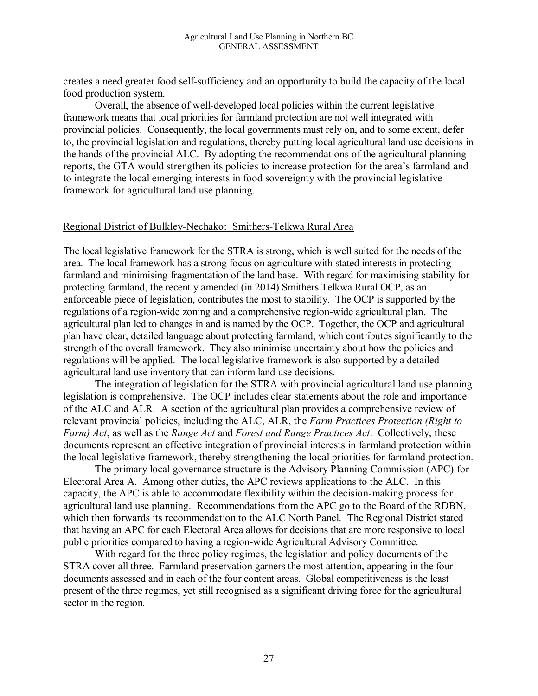creates a need greater food self-sufficiency and an opportunity to build the capacity of the local food production system.

Overall, the absence of well-developed local policies within the current legislative framework means that local priorities for farmland protection are not well integrated with provincial policies. Consequently, the local governments must rely on, and to some extent, defer to, the provincial legislation and regulations, thereby putting local agricultural land use decisions in the hands of the provincial ALC. By adopting the recommendations of the agricultural planning reports, the GTA would strengthen its policies to increase protection for the area's farmland and to integrate the local emerging interests in food sovereignty with the provincial legislative framework for agricultural land use planning.

#### Regional District of Bulkley-Nechako: Smithers-Telkwa Rural Area

The local legislative framework for the STRA is strong, which is well suited for the needs of the area. The local framework has a strong focus on agriculture with stated interests in protecting farmland and minimising fragmentation of the land base. With regard for maximising stability for protecting farmland, the recently amended (in 2014) Smithers Telkwa Rural OCP, as an enforceable piece of legislation, contributes the most to stability. The OCP is supported by the regulations of a region-wide zoning and a comprehensive region-wide agricultural plan. The agricultural plan led to changes in and is named by the OCP. Together, the OCP and agricultural plan have clear, detailed language about protecting farmland, which contributes significantly to the strength of the overall framework. They also minimise uncertainty about how the policies and regulations will be applied. The local legislative framework is also supported by a detailed agricultural land use inventory that can inform land use decisions.

The integration of legislation for the STRA with provincial agricultural land use planning legislation is comprehensive. The OCP includes clear statements about the role and importance of the ALC and ALR. A section of the agricultural plan provides a comprehensive review of relevant provincial policies, including the ALC, ALR, the *Farm Practices Protection (Right to Farm) Act*, as well as the *Range Act* and *Forest and Range Practices Act*. Collectively, these documents represent an effective integration of provincial interests in farmland protection within the local legislative framework, thereby strengthening the local priorities for farmland protection.

The primary local governance structure is the Advisory Planning Commission (APC) for Electoral Area A. Among other duties, the APC reviews applications to the ALC. In this capacity, the APC is able to accommodate flexibility within the decision-making process for agricultural land use planning. Recommendations from the APC go to the Board of the RDBN, which then forwards its recommendation to the ALC North Panel. The Regional District stated that having an APC for each Electoral Area allows for decisions that are more responsive to local public priorities compared to having a region-wide Agricultural Advisory Committee.

With regard for the three policy regimes, the legislation and policy documents of the STRA cover all three. Farmland preservation garners the most attention, appearing in the four documents assessed and in each of the four content areas. Global competitiveness is the least present of the three regimes, yet still recognised as a significant driving force for the agricultural sector in the region.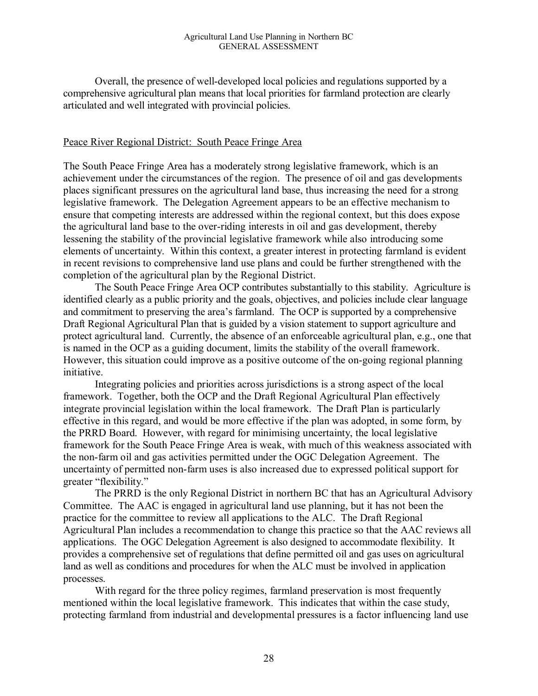Overall, the presence of well-developed local policies and regulations supported by a comprehensive agricultural plan means that local priorities for farmland protection are clearly articulated and well integrated with provincial policies.

#### Peace River Regional District: South Peace Fringe Area

The South Peace Fringe Area has a moderately strong legislative framework, which is an achievement under the circumstances of the region. The presence of oil and gas developments places significant pressures on the agricultural land base, thus increasing the need for a strong legislative framework. The Delegation Agreement appears to be an effective mechanism to ensure that competing interests are addressed within the regional context, but this does expose the agricultural land base to the over-riding interests in oil and gas development, thereby lessening the stability of the provincial legislative framework while also introducing some elements of uncertainty. Within this context, a greater interest in protecting farmland is evident in recent revisions to comprehensive land use plans and could be further strengthened with the completion of the agricultural plan by the Regional District.

The South Peace Fringe Area OCP contributes substantially to this stability. Agriculture is identified clearly as a public priority and the goals, objectives, and policies include clear language and commitment to preserving the area's farmland. The OCP is supported by a comprehensive Draft Regional Agricultural Plan that is guided by a vision statement to support agriculture and protect agricultural land. Currently, the absence of an enforceable agricultural plan, e.g., one that is named in the OCP as a guiding document, limits the stability of the overall framework. However, this situation could improve as a positive outcome of the on-going regional planning initiative.

Integrating policies and priorities across jurisdictions is a strong aspect of the local framework. Together, both the OCP and the Draft Regional Agricultural Plan effectively integrate provincial legislation within the local framework. The Draft Plan is particularly effective in this regard, and would be more effective if the plan was adopted, in some form, by the PRRD Board. However, with regard for minimising uncertainty, the local legislative framework for the South Peace Fringe Area is weak, with much of this weakness associated with the non-farm oil and gas activities permitted under the OGC Delegation Agreement. The uncertainty of permitted non-farm uses is also increased due to expressed political support for greater "flexibility."

The PRRD is the only Regional District in northern BC that has an Agricultural Advisory Committee. The AAC is engaged in agricultural land use planning, but it has not been the practice for the committee to review all applications to the ALC. The Draft Regional Agricultural Plan includes a recommendation to change this practice so that the AAC reviews all applications. The OGC Delegation Agreement is also designed to accommodate flexibility. It provides a comprehensive set of regulations that define permitted oil and gas uses on agricultural land as well as conditions and procedures for when the ALC must be involved in application processes.

With regard for the three policy regimes, farmland preservation is most frequently mentioned within the local legislative framework. This indicates that within the case study, protecting farmland from industrial and developmental pressures is a factor influencing land use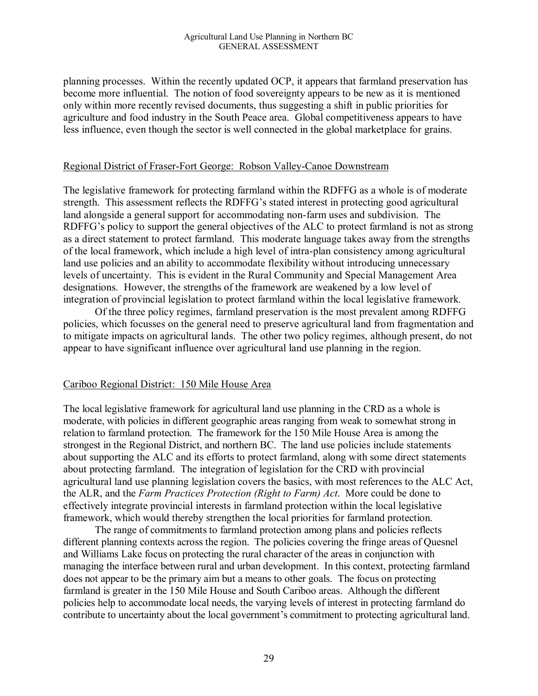planning processes. Within the recently updated OCP, it appears that farmland preservation has become more influential. The notion of food sovereignty appears to be new as it is mentioned only within more recently revised documents, thus suggesting a shift in public priorities for agriculture and food industry in the South Peace area. Global competitiveness appears to have less influence, even though the sector is well connected in the global marketplace for grains.

#### Regional District of Fraser-Fort George: Robson Valley-Canoe Downstream

The legislative framework for protecting farmland within the RDFFG as a whole is of moderate strength. This assessment reflects the RDFFG's stated interest in protecting good agricultural land alongside a general support for accommodating non-farm uses and subdivision. The RDFFG's policy to support the general objectives of the ALC to protect farmland is not as strong as a direct statement to protect farmland. This moderate language takes away from the strengths of the local framework, which include a high level of intra-plan consistency among agricultural land use policies and an ability to accommodate flexibility without introducing unnecessary levels of uncertainty. This is evident in the Rural Community and Special Management Area designations. However, the strengths of the framework are weakened by a low level of integration of provincial legislation to protect farmland within the local legislative framework*.*

Of the three policy regimes, farmland preservation is the most prevalent among RDFFG policies, which focusses on the general need to preserve agricultural land from fragmentation and to mitigate impacts on agricultural lands. The other two policy regimes, although present, do not appear to have significant influence over agricultural land use planning in the region.

#### Cariboo Regional District: 150 Mile House Area

The local legislative framework for agricultural land use planning in the CRD as a whole is moderate, with policies in different geographic areas ranging from weak to somewhat strong in relation to farmland protection. The framework for the 150 Mile House Area is among the strongest in the Regional District, and northern BC. The land use policies include statements about supporting the ALC and its efforts to protect farmland, along with some direct statements about protecting farmland. The integration of legislation for the CRD with provincial agricultural land use planning legislation covers the basics, with most references to the ALC Act, the ALR, and the *Farm Practices Protection (Right to Farm) Act*. More could be done to effectively integrate provincial interests in farmland protection within the local legislative framework, which would thereby strengthen the local priorities for farmland protection.

The range of commitments to farmland protection among plans and policies reflects different planning contexts across the region. The policies covering the fringe areas of Quesnel and Williams Lake focus on protecting the rural character of the areas in conjunction with managing the interface between rural and urban development. In this context, protecting farmland does not appear to be the primary aim but a means to other goals. The focus on protecting farmland is greater in the 150 Mile House and South Cariboo areas. Although the different policies help to accommodate local needs, the varying levels of interest in protecting farmland do contribute to uncertainty about the local government's commitment to protecting agricultural land.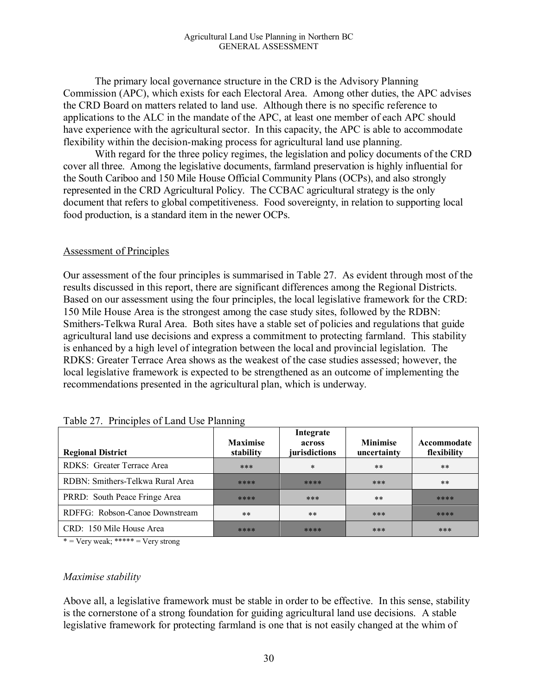The primary local governance structure in the CRD is the Advisory Planning Commission (APC), which exists for each Electoral Area. Among other duties, the APC advises the CRD Board on matters related to land use. Although there is no specific reference to applications to the ALC in the mandate of the APC, at least one member of each APC should have experience with the agricultural sector. In this capacity, the APC is able to accommodate flexibility within the decision-making process for agricultural land use planning.

With regard for the three policy regimes, the legislation and policy documents of the CRD cover all three. Among the legislative documents, farmland preservation is highly influential for the South Cariboo and 150 Mile House Official Community Plans (OCPs), and also strongly represented in the CRD Agricultural Policy. The CCBAC agricultural strategy is the only document that refers to global competitiveness. Food sovereignty, in relation to supporting local food production, is a standard item in the newer OCPs.

#### Assessment of Principles

Our assessment of the four principles is summarised in Table 27. As evident through most of the results discussed in this report, there are significant differences among the Regional Districts. Based on our assessment using the four principles, the local legislative framework for the CRD: 150 Mile House Area is the strongest among the case study sites, followed by the RDBN: Smithers-Telkwa Rural Area. Both sites have a stable set of policies and regulations that guide agricultural land use decisions and express a commitment to protecting farmland. This stability is enhanced by a high level of integration between the local and provincial legislation. The RDKS: Greater Terrace Area shows as the weakest of the case studies assessed; however, the local legislative framework is expected to be strengthened as an outcome of implementing the recommendations presented in the agricultural plan, which is underway.

| <b>Regional District</b>         | <b>Maximise</b><br>stability | Integrate<br>across<br>jurisdictions | <b>Minimise</b><br>uncertainty | Accommodate<br>flexibility |
|----------------------------------|------------------------------|--------------------------------------|--------------------------------|----------------------------|
| RDKS: Greater Terrace Area       | ***                          | $\ast$                               | $***$                          | $***$                      |
| RDBN: Smithers-Telkwa Rural Area | ****                         | ****                                 | ***                            | $***$                      |
| PRRD: South Peace Fringe Area    | ****                         | ***                                  | $***$                          | ****                       |
| RDFFG: Robson-Canoe Downstream   | $***$                        | $***$                                | ***                            | ****                       |
| CRD: 150 Mile House Area         | ****                         | ****                                 | ***                            | ***                        |

 $*$  = Very weak; \*\*\*\*\* = Very strong

#### *Maximise stability*

Above all, a legislative framework must be stable in order to be effective. In this sense, stability is the cornerstone of a strong foundation for guiding agricultural land use decisions. A stable legislative framework for protecting farmland is one that is not easily changed at the whim of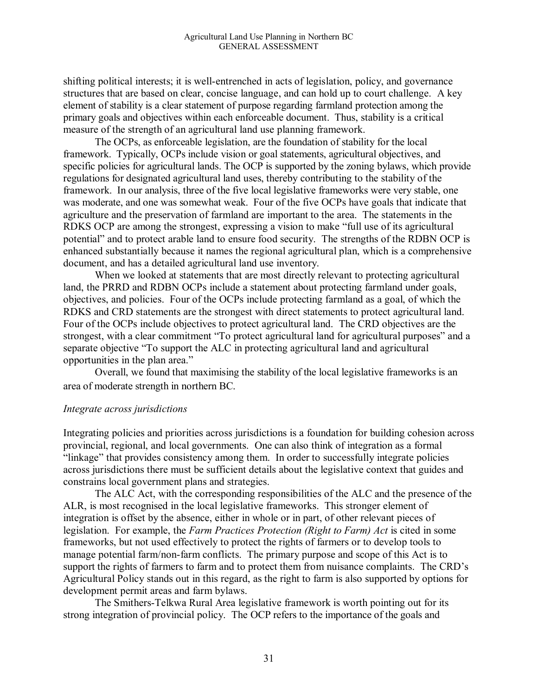shifting political interests; it is well-entrenched in acts of legislation, policy, and governance structures that are based on clear, concise language, and can hold up to court challenge. A key element of stability is a clear statement of purpose regarding farmland protection among the primary goals and objectives within each enforceable document. Thus, stability is a critical measure of the strength of an agricultural land use planning framework.

The OCPs, as enforceable legislation, are the foundation of stability for the local framework. Typically, OCPs include vision or goal statements, agricultural objectives, and specific policies for agricultural lands. The OCP is supported by the zoning bylaws, which provide regulations for designated agricultural land uses, thereby contributing to the stability of the framework. In our analysis, three of the five local legislative frameworks were very stable, one was moderate, and one was somewhat weak. Four of the five OCPs have goals that indicate that agriculture and the preservation of farmland are important to the area. The statements in the RDKS OCP are among the strongest, expressing a vision to make "full use of its agricultural potential" and to protect arable land to ensure food security. The strengths of the RDBN OCP is enhanced substantially because it names the regional agricultural plan, which is a comprehensive document, and has a detailed agricultural land use inventory.

When we looked at statements that are most directly relevant to protecting agricultural land, the PRRD and RDBN OCPs include a statement about protecting farmland under goals, objectives, and policies. Four of the OCPs include protecting farmland as a goal, of which the RDKS and CRD statements are the strongest with direct statements to protect agricultural land. Four of the OCPs include objectives to protect agricultural land. The CRD objectives are the strongest, with a clear commitment "To protect agricultural land for agricultural purposes" and a separate objective "To support the ALC in protecting agricultural land and agricultural opportunities in the plan area."

Overall, we found that maximising the stability of the local legislative frameworks is an area of moderate strength in northern BC.

#### *Integrate across jurisdictions*

Integrating policies and priorities across jurisdictions is a foundation for building cohesion across provincial, regional, and local governments. One can also think of integration as a formal "linkage" that provides consistency among them. In order to successfully integrate policies across jurisdictions there must be sufficient details about the legislative context that guides and constrains local government plans and strategies.

The ALC Act, with the corresponding responsibilities of the ALC and the presence of the ALR, is most recognised in the local legislative frameworks. This stronger element of integration is offset by the absence, either in whole or in part, of other relevant pieces of legislation. For example, the *Farm Practices Protection (Right to Farm) Act* is cited in some frameworks, but not used effectively to protect the rights of farmers or to develop tools to manage potential farm/non-farm conflicts. The primary purpose and scope of this Act is to support the rights of farmers to farm and to protect them from nuisance complaints. The CRD's Agricultural Policy stands out in this regard, as the right to farm is also supported by options for development permit areas and farm bylaws.

The Smithers-Telkwa Rural Area legislative framework is worth pointing out for its strong integration of provincial policy. The OCP refers to the importance of the goals and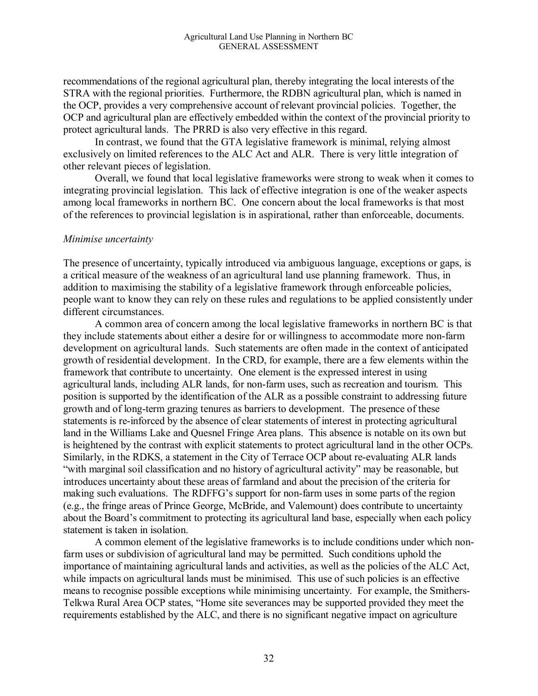recommendations of the regional agricultural plan, thereby integrating the local interests of the STRA with the regional priorities. Furthermore, the RDBN agricultural plan, which is named in the OCP, provides a very comprehensive account of relevant provincial policies. Together, the OCP and agricultural plan are effectively embedded within the context of the provincial priority to protect agricultural lands. The PRRD is also very effective in this regard.

In contrast, we found that the GTA legislative framework is minimal, relying almost exclusively on limited references to the ALC Act and ALR. There is very little integration of other relevant pieces of legislation.

Overall, we found that local legislative frameworks were strong to weak when it comes to integrating provincial legislation. This lack of effective integration is one of the weaker aspects among local frameworks in northern BC. One concern about the local frameworks is that most of the references to provincial legislation is in aspirational, rather than enforceable, documents.

#### *Minimise uncertainty*

The presence of uncertainty, typically introduced via ambiguous language, exceptions or gaps, is a critical measure of the weakness of an agricultural land use planning framework. Thus, in addition to maximising the stability of a legislative framework through enforceable policies, people want to know they can rely on these rules and regulations to be applied consistently under different circumstances.

A common area of concern among the local legislative frameworks in northern BC is that they include statements about either a desire for or willingness to accommodate more non-farm development on agricultural lands. Such statements are often made in the context of anticipated growth of residential development. In the CRD, for example, there are a few elements within the framework that contribute to uncertainty. One element is the expressed interest in using agricultural lands, including ALR lands, for non-farm uses, such as recreation and tourism. This position is supported by the identification of the ALR as a possible constraint to addressing future growth and of long-term grazing tenures as barriers to development. The presence of these statements is re-inforced by the absence of clear statements of interest in protecting agricultural land in the Williams Lake and Quesnel Fringe Area plans. This absence is notable on its own but is heightened by the contrast with explicit statements to protect agricultural land in the other OCPs. Similarly, in the RDKS, a statement in the City of Terrace OCP about re-evaluating ALR lands "with marginal soil classification and no history of agricultural activity" may be reasonable, but introduces uncertainty about these areas of farmland and about the precision of the criteria for making such evaluations. The RDFFG's support for non-farm uses in some parts of the region (e.g., the fringe areas of Prince George, McBride, and Valemount) does contribute to uncertainty about the Board's commitment to protecting its agricultural land base, especially when each policy statement is taken in isolation.

A common element of the legislative frameworks is to include conditions under which nonfarm uses or subdivision of agricultural land may be permitted. Such conditions uphold the importance of maintaining agricultural lands and activities, as well as the policies of the ALC Act, while impacts on agricultural lands must be minimised. This use of such policies is an effective means to recognise possible exceptions while minimising uncertainty. For example, the Smithers-Telkwa Rural Area OCP states, "Home site severances may be supported provided they meet the requirements established by the ALC, and there is no significant negative impact on agriculture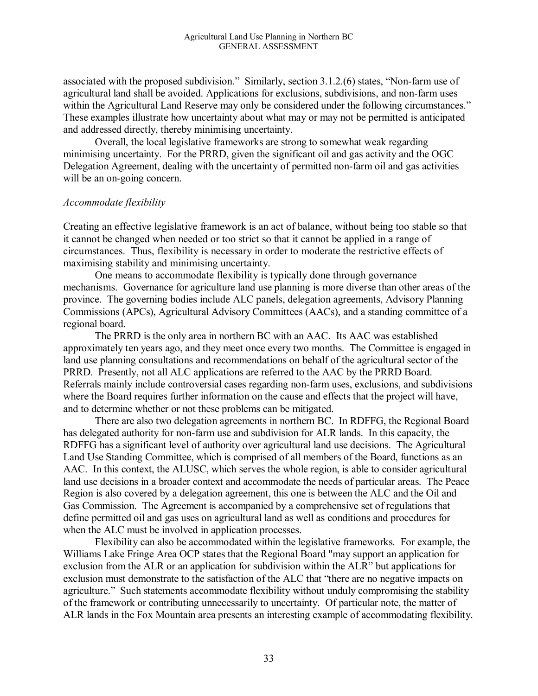associated with the proposed subdivision." Similarly, section 3.1.2.(6) states, "Non-farm use of agricultural land shall be avoided. Applications for exclusions, subdivisions, and non-farm uses within the Agricultural Land Reserve may only be considered under the following circumstances." These examples illustrate how uncertainty about what may or may not be permitted is anticipated and addressed directly, thereby minimising uncertainty.

Overall, the local legislative frameworks are strong to somewhat weak regarding minimising uncertainty. For the PRRD, given the significant oil and gas activity and the OGC Delegation Agreement, dealing with the uncertainty of permitted non-farm oil and gas activities will be an on-going concern.

#### *Accommodate flexibility*

Creating an effective legislative framework is an act of balance, without being too stable so that it cannot be changed when needed or too strict so that it cannot be applied in a range of circumstances. Thus, flexibility is necessary in order to moderate the restrictive effects of maximising stability and minimising uncertainty.

One means to accommodate flexibility is typically done through governance mechanisms. Governance for agriculture land use planning is more diverse than other areas of the province. The governing bodies include ALC panels, delegation agreements, Advisory Planning Commissions (APCs), Agricultural Advisory Committees (AACs), and a standing committee of a regional board.

The PRRD is the only area in northern BC with an AAC. Its AAC was established approximately ten years ago, and they meet once every two months. The Committee is engaged in land use planning consultations and recommendations on behalf of the agricultural sector of the PRRD. Presently, not all ALC applications are referred to the AAC by the PRRD Board. Referrals mainly include controversial cases regarding non-farm uses, exclusions, and subdivisions where the Board requires further information on the cause and effects that the project will have, and to determine whether or not these problems can be mitigated.

There are also two delegation agreements in northern BC. In RDFFG, the Regional Board has delegated authority for non-farm use and subdivision for ALR lands. In this capacity, the RDFFG has a significant level of authority over agricultural land use decisions. The Agricultural Land Use Standing Committee, which is comprised of all members of the Board, functions as an AAC. In this context, the ALUSC, which serves the whole region, is able to consider agricultural land use decisions in a broader context and accommodate the needs of particular areas. The Peace Region is also covered by a delegation agreement, this one is between the ALC and the Oil and Gas Commission. The Agreement is accompanied by a comprehensive set of regulations that define permitted oil and gas uses on agricultural land as well as conditions and procedures for when the ALC must be involved in application processes.

Flexibility can also be accommodated within the legislative frameworks. For example, the Williams Lake Fringe Area OCP states that the Regional Board "may support an application for exclusion from the ALR or an application for subdivision within the ALR" but applications for exclusion must demonstrate to the satisfaction of the ALC that "there are no negative impacts on agriculture." Such statements accommodate flexibility without unduly compromising the stability of the framework or contributing unnecessarily to uncertainty. Of particular note, the matter of ALR lands in the Fox Mountain area presents an interesting example of accommodating flexibility.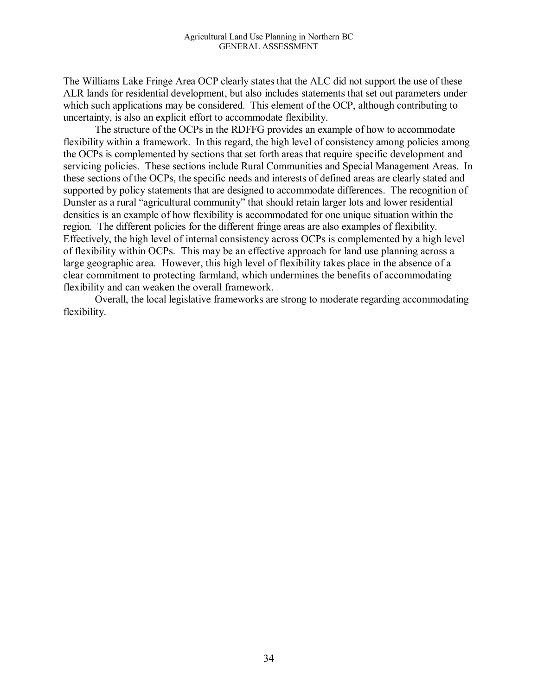The Williams Lake Fringe Area OCP clearly states that the ALC did not support the use of these ALR lands for residential development, but also includes statements that set out parameters under which such applications may be considered. This element of the OCP, although contributing to uncertainty, is also an explicit effort to accommodate flexibility.

The structure of the OCPs in the RDFFG provides an example of how to accommodate flexibility within a framework. In this regard, the high level of consistency among policies among the OCPs is complemented by sections that set forth areas that require specific development and servicing policies. These sections include Rural Communities and Special Management Areas. In these sections of the OCPs, the specific needs and interests of defined areas are clearly stated and supported by policy statements that are designed to accommodate differences. The recognition of Dunster as a rural "agricultural community" that should retain larger lots and lower residential densities is an example of how flexibility is accommodated for one unique situation within the region. The different policies for the different fringe areas are also examples of flexibility. Effectively, the high level of internal consistency across OCPs is complemented by a high level of flexibility within OCPs. This may be an effective approach for land use planning across a large geographic area. However, this high level of flexibility takes place in the absence of a clear commitment to protecting farmland, which undermines the benefits of accommodating flexibility and can weaken the overall framework.

Overall, the local legislative frameworks are strong to moderate regarding accommodating flexibility.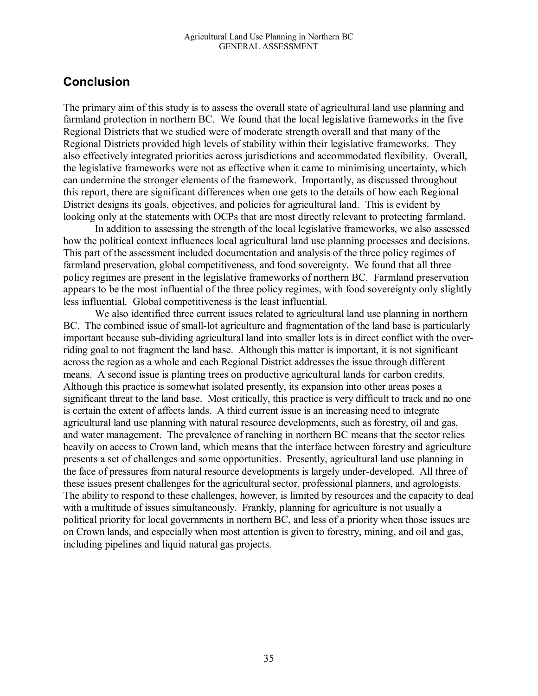## **Conclusion**

The primary aim of this study is to assess the overall state of agricultural land use planning and farmland protection in northern BC. We found that the local legislative frameworks in the five Regional Districts that we studied were of moderate strength overall and that many of the Regional Districts provided high levels of stability within their legislative frameworks. They also effectively integrated priorities across jurisdictions and accommodated flexibility. Overall, the legislative frameworks were not as effective when it came to minimising uncertainty, which can undermine the stronger elements of the framework. Importantly, as discussed throughout this report, there are significant differences when one gets to the details of how each Regional District designs its goals, objectives, and policies for agricultural land. This is evident by looking only at the statements with OCPs that are most directly relevant to protecting farmland.

In addition to assessing the strength of the local legislative frameworks, we also assessed how the political context influences local agricultural land use planning processes and decisions. This part of the assessment included documentation and analysis of the three policy regimes of farmland preservation, global competitiveness, and food sovereignty. We found that all three policy regimes are present in the legislative frameworks of northern BC. Farmland preservation appears to be the most influential of the three policy regimes, with food sovereignty only slightly less influential. Global competitiveness is the least influential.

We also identified three current issues related to agricultural land use planning in northern BC. The combined issue of small-lot agriculture and fragmentation of the land base is particularly important because sub-dividing agricultural land into smaller lots is in direct conflict with the overriding goal to not fragment the land base. Although this matter is important, it is not significant across the region as a whole and each Regional District addresses the issue through different means. A second issue is planting trees on productive agricultural lands for carbon credits. Although this practice is somewhat isolated presently, its expansion into other areas poses a significant threat to the land base. Most critically, this practice is very difficult to track and no one is certain the extent of affects lands. A third current issue is an increasing need to integrate agricultural land use planning with natural resource developments, such as forestry, oil and gas, and water management. The prevalence of ranching in northern BC means that the sector relies heavily on access to Crown land, which means that the interface between forestry and agriculture presents a set of challenges and some opportunities. Presently, agricultural land use planning in the face of pressures from natural resource developments is largely under-developed. All three of these issues present challenges for the agricultural sector, professional planners, and agrologists. The ability to respond to these challenges, however, is limited by resources and the capacity to deal with a multitude of issues simultaneously. Frankly, planning for agriculture is not usually a political priority for local governments in northern BC, and less of a priority when those issues are on Crown lands, and especially when most attention is given to forestry, mining, and oil and gas, including pipelines and liquid natural gas projects.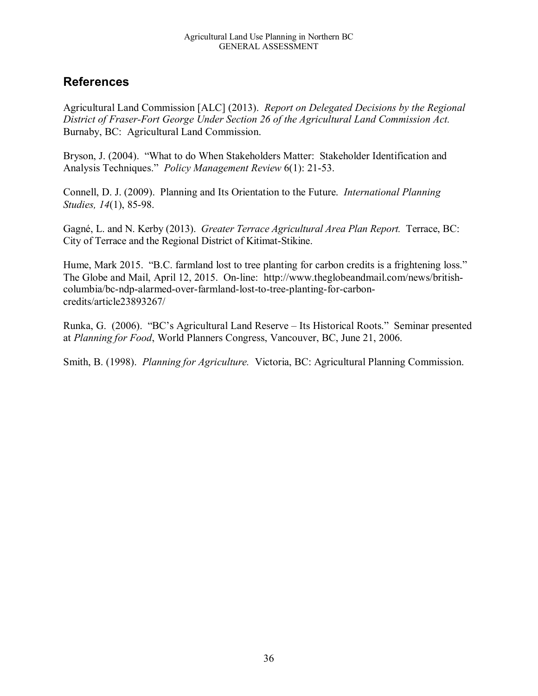# **References**

Agricultural Land Commission [ALC] (2013). *Report on Delegated Decisions by the Regional District of Fraser-Fort George Under Section 26 of the Agricultural Land Commission Act.* Burnaby, BC: Agricultural Land Commission.

Bryson, J. (2004). "What to do When Stakeholders Matter: Stakeholder Identification and Analysis Techniques." *Policy Management Review* 6(1): 21-53.

Connell, D. J. (2009). Planning and Its Orientation to the Future. *International Planning Studies, 14*(1), 85-98.

Gagné, L. and N. Kerby (2013). *Greater Terrace Agricultural Area Plan Report.* Terrace, BC: City of Terrace and the Regional District of Kitimat-Stikine.

Hume, Mark 2015. "B.C. farmland lost to tree planting for carbon credits is a frightening loss." The Globe and Mail, April 12, 2015. On-line: http://www.theglobeandmail.com/news/britishcolumbia/bc-ndp-alarmed-over-farmland-lost-to-tree-planting-for-carboncredits/article23893267/

Runka, G. (2006). "BC's Agricultural Land Reserve – Its Historical Roots." Seminar presented at *Planning for Food*, World Planners Congress, Vancouver, BC, June 21, 2006.

Smith, B. (1998). *Planning for Agriculture.* Victoria, BC: Agricultural Planning Commission.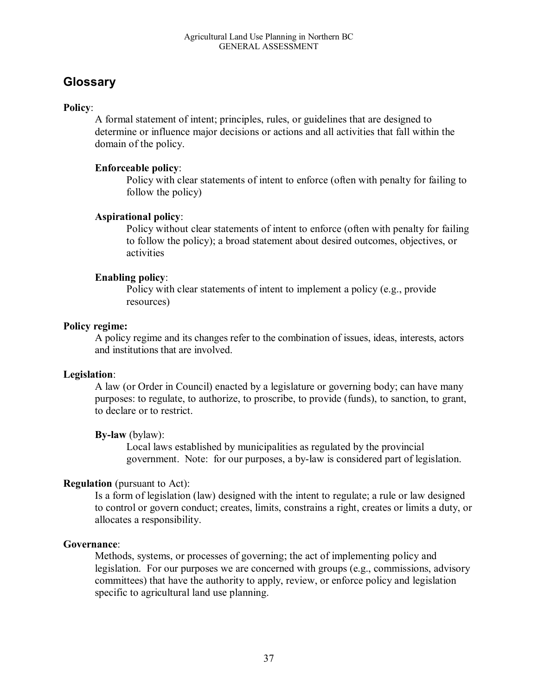# **Glossary**

#### **Policy**:

A formal statement of intent; principles, rules, or guidelines that are designed to determine or influence major decisions or actions and all activities that fall within the domain of the policy.

#### **Enforceable policy**:

Policy with clear statements of intent to enforce (often with penalty for failing to follow the policy)

#### **Aspirational policy**:

Policy without clear statements of intent to enforce (often with penalty for failing to follow the policy); a broad statement about desired outcomes, objectives, or activities

#### **Enabling policy**:

Policy with clear statements of intent to implement a policy (e.g., provide resources)

#### **Policy regime:**

A policy regime and its changes refer to the combination of issues, ideas, interests, actors and institutions that are involved.

#### **Legislation**:

A law (or Order in Council) enacted by a legislature or governing body; can have many purposes: to regulate, to authorize, to proscribe, to provide (funds), to sanction, to grant, to declare or to restrict.

### **By-law** (bylaw):

Local laws established by municipalities as regulated by the provincial government. Note: for our purposes, a by-law is considered part of legislation.

#### **Regulation** (pursuant to Act):

Is a form of legislation (law) designed with the intent to regulate; a rule or law designed to control or govern conduct; creates, limits, constrains a right, creates or limits a duty, or allocates a responsibility.

#### **Governance**:

Methods, systems, or processes of governing; the act of implementing policy and legislation. For our purposes we are concerned with groups (e.g., commissions, advisory committees) that have the authority to apply, review, or enforce policy and legislation specific to agricultural land use planning.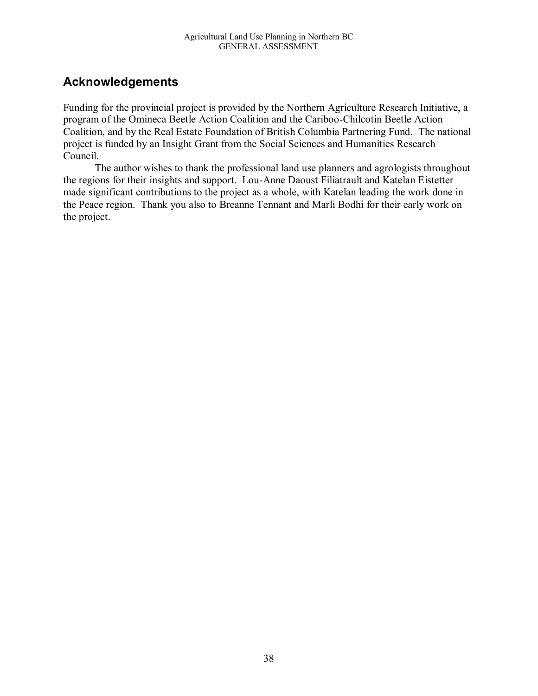# **Acknowledgements**

Funding for the provincial project is provided by the Northern Agriculture Research Initiative, a program of the Omineca Beetle Action Coalition and the Cariboo-Chilcotin Beetle Action Coalition, and by the Real Estate Foundation of British Columbia Partnering Fund. The national project is funded by an Insight Grant from the Social Sciences and Humanities Research Council.

The author wishes to thank the professional land use planners and agrologists throughout the regions for their insights and support. Lou-Anne Daoust Filiatrault and Katelan Eistetter made significant contributions to the project as a whole, with Katelan leading the work done in the Peace region. Thank you also to Breanne Tennant and Marli Bodhi for their early work on the project.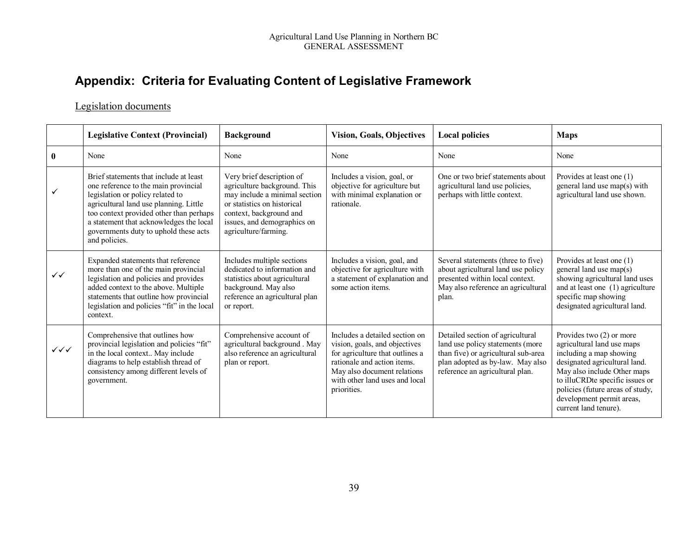# **Appendix: Criteria for Evaluating Content of Legislative Framework**

#### Legislation documents

|                        | <b>Legislative Context (Provincial)</b>                                                                                                                                                                                                                                                                      | <b>Background</b>                                                                                                                                                                                           | <b>Vision, Goals, Objectives</b>                                                                                                                                                                                  | <b>Local policies</b>                                                                                                                                                              | <b>Maps</b>                                                                                                                                                                                                                                                                      |
|------------------------|--------------------------------------------------------------------------------------------------------------------------------------------------------------------------------------------------------------------------------------------------------------------------------------------------------------|-------------------------------------------------------------------------------------------------------------------------------------------------------------------------------------------------------------|-------------------------------------------------------------------------------------------------------------------------------------------------------------------------------------------------------------------|------------------------------------------------------------------------------------------------------------------------------------------------------------------------------------|----------------------------------------------------------------------------------------------------------------------------------------------------------------------------------------------------------------------------------------------------------------------------------|
| $\mathbf{0}$           | None                                                                                                                                                                                                                                                                                                         | None                                                                                                                                                                                                        | None                                                                                                                                                                                                              | None                                                                                                                                                                               | None                                                                                                                                                                                                                                                                             |
| ✓                      | Brief statements that include at least<br>one reference to the main provincial<br>legislation or policy related to<br>agricultural land use planning. Little<br>too context provided other than perhaps<br>a statement that acknowledges the local<br>governments duty to uphold these acts<br>and policies. | Very brief description of<br>agriculture background. This<br>may include a minimal section<br>or statistics on historical<br>context, background and<br>issues, and demographics on<br>agriculture/farming. | Includes a vision, goal, or<br>objective for agriculture but<br>with minimal explanation or<br>rationale.                                                                                                         | One or two brief statements about<br>agricultural land use policies,<br>perhaps with little context.                                                                               | Provides at least one (1)<br>general land use map(s) with<br>agricultural land use shown.                                                                                                                                                                                        |
| $\checkmark$           | Expanded statements that reference<br>more than one of the main provincial<br>legislation and policies and provides<br>added context to the above. Multiple<br>statements that outline how provincial<br>legislation and policies "fit" in the local<br>context.                                             | Includes multiple sections<br>dedicated to information and<br>statistics about agricultural<br>background. May also<br>reference an agricultural plan<br>or report.                                         | Includes a vision, goal, and<br>objective for agriculture with<br>a statement of explanation and<br>some action items.                                                                                            | Several statements (three to five)<br>about agricultural land use policy<br>presented within local context.<br>May also reference an agricultural<br>plan.                         | Provides at least one (1)<br>general land use map(s)<br>showing agricultural land uses<br>and at least one (1) agriculture<br>specific map showing<br>designated agricultural land.                                                                                              |
| $\checkmark\checkmark$ | Comprehensive that outlines how<br>provincial legislation and policies "fit"<br>in the local context May include<br>diagrams to help establish thread of<br>consistency among different levels of<br>government.                                                                                             | Comprehensive account of<br>agricultural background. May<br>also reference an agricultural<br>plan or report.                                                                                               | Includes a detailed section on<br>vision, goals, and objectives<br>for agriculture that outlines a<br>rationale and action items.<br>May also document relations<br>with other land uses and local<br>priorities. | Detailed section of agricultural<br>land use policy statements (more<br>than five) or agricultural sub-area<br>plan adopted as by-law. May also<br>reference an agricultural plan. | Provides two $(2)$ or more<br>agricultural land use maps<br>including a map showing<br>designated agricultural land.<br>May also include Other maps<br>to illuCRDte specific issues or<br>policies (future areas of study,<br>development permit areas,<br>current land tenure). |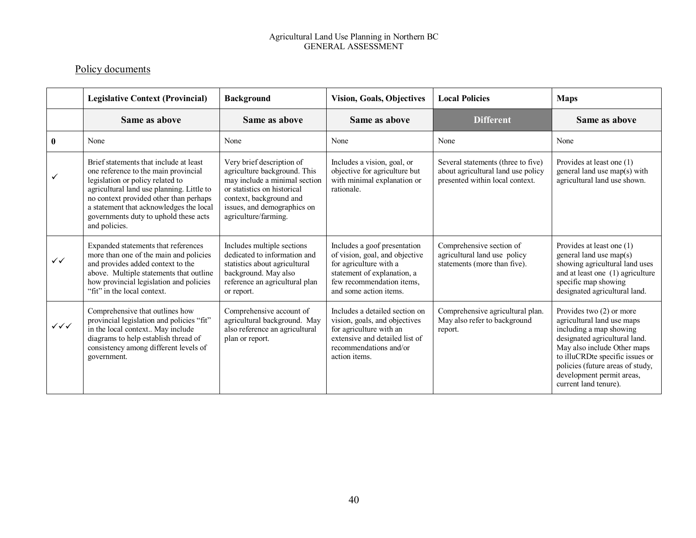#### Agricultural Land Use Planning in Northern BC GENERAL ASSESSMENT

### Policy documents

|                                  | <b>Legislative Context (Provincial)</b>                                                                                                                                                                                                                                                                        | <b>Background</b>                                                                                                                                                                                           | <b>Vision, Goals, Objectives</b>                                                                                                                                               | <b>Local Policies</b>                                                                                       | <b>Maps</b>                                                                                                                                                                                                                                                                      |
|----------------------------------|----------------------------------------------------------------------------------------------------------------------------------------------------------------------------------------------------------------------------------------------------------------------------------------------------------------|-------------------------------------------------------------------------------------------------------------------------------------------------------------------------------------------------------------|--------------------------------------------------------------------------------------------------------------------------------------------------------------------------------|-------------------------------------------------------------------------------------------------------------|----------------------------------------------------------------------------------------------------------------------------------------------------------------------------------------------------------------------------------------------------------------------------------|
|                                  | Same as above                                                                                                                                                                                                                                                                                                  | Same as above                                                                                                                                                                                               | Same as above                                                                                                                                                                  | <b>Different</b>                                                                                            | Same as above                                                                                                                                                                                                                                                                    |
| $\mathbf{0}$                     | None                                                                                                                                                                                                                                                                                                           | None                                                                                                                                                                                                        | None                                                                                                                                                                           | None                                                                                                        | None                                                                                                                                                                                                                                                                             |
|                                  | Brief statements that include at least<br>one reference to the main provincial<br>legislation or policy related to<br>agricultural land use planning. Little to<br>no context provided other than perhaps<br>a statement that acknowledges the local<br>governments duty to uphold these acts<br>and policies. | Very brief description of<br>agriculture background. This<br>may include a minimal section<br>or statistics on historical<br>context, background and<br>issues, and demographics on<br>agriculture/farming. | Includes a vision, goal, or<br>objective for agriculture but<br>with minimal explanation or<br>rationale.                                                                      | Several statements (three to five)<br>about agricultural land use policy<br>presented within local context. | Provides at least one (1)<br>general land use map(s) with<br>agricultural land use shown.                                                                                                                                                                                        |
| $\checkmark$                     | Expanded statements that references<br>more than one of the main and policies<br>and provides added context to the<br>above. Multiple statements that outline<br>how provincial legislation and policies<br>"fit" in the local context.                                                                        | Includes multiple sections<br>dedicated to information and<br>statistics about agricultural<br>background. May also<br>reference an agricultural plan<br>or report.                                         | Includes a goof presentation<br>of vision, goal, and objective<br>for agriculture with a<br>statement of explanation, a<br>few recommendation items,<br>and some action items. | Comprehensive section of<br>agricultural land use policy<br>statements (more than five).                    | Provides at least one (1)<br>general land use map(s)<br>showing agricultural land uses<br>and at least one (1) agriculture<br>specific map showing<br>designated agricultural land.                                                                                              |
| $\checkmark\checkmark\checkmark$ | Comprehensive that outlines how<br>provincial legislation and policies "fit"<br>in the local context May include<br>diagrams to help establish thread of<br>consistency among different levels of<br>government.                                                                                               | Comprehensive account of<br>agricultural background. May<br>also reference an agricultural<br>plan or report.                                                                                               | Includes a detailed section on<br>vision, goals, and objectives<br>for agriculture with an<br>extensive and detailed list of<br>recommendations and/or<br>action items.        | Comprehensive agricultural plan.<br>May also refer to background<br>report.                                 | Provides two $(2)$ or more<br>agricultural land use maps<br>including a map showing<br>designated agricultural land.<br>May also include Other maps<br>to illuCRDte specific issues or<br>policies (future areas of study,<br>development permit areas,<br>current land tenure). |